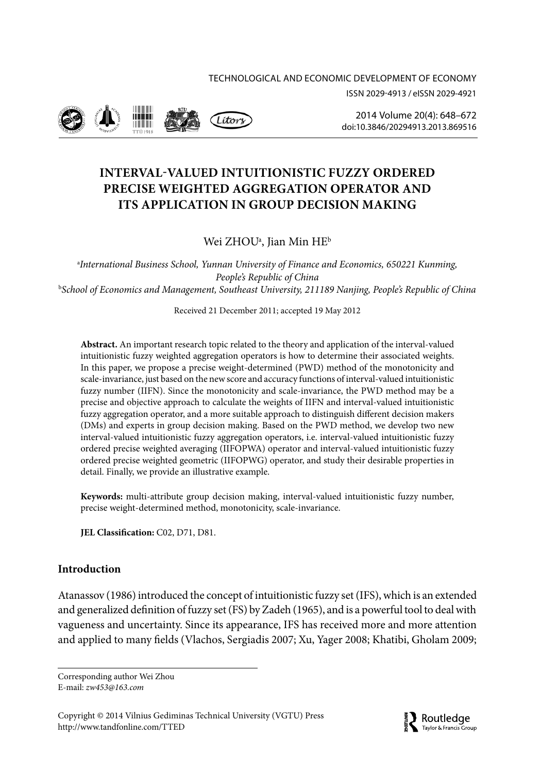



2014 Volume 20(4): 648–672 [doi:10.3846/20294913.2013.869516](http://dx.doi.org/10.3846/20294913.2013.869516)

# **INTERVAL-VALUED INTUITIONISTIC FUZZY ORDERED PRECISE WEIGHTED AGGREGATION OPERATOR AND ITS APPLICATION IN GROUP DECISION MAKING**

# Wei ZHOU<sup>a</sup>, Jian Min HE<sup>b</sup>

a *International Business School, Yunnan University of Finance and Economics, 650221 Kunming, People's Republic of China* b *School of Economics and Management, Southeast University, 211189 Nanjing, People's Republic of China* 

Received 21 December 2011; accepted 19 May 2012

**Abstract.** An important research topic related to the theory and application of the interval-valued intuitionistic fuzzy weighted aggregation operators is how to determine their associated weights. In this paper, we propose a precise weight-determined (PWD) method of the monotonicity and scale-invariance, just based on the new score and accuracy functions of interval-valued intuitionistic fuzzy number (IIFN). Since the monotonicity and scale-invariance, the PWD method may be a precise and objective approach to calculate the weights of IIFN and interval-valued intuitionistic fuzzy aggregation operator, and a more suitable approach to distinguish different decision makers (DMs) and experts in group decision making. Based on the PWD method, we develop two new interval-valued intuitionistic fuzzy aggregation operators, i.e. interval-valued intuitionistic fuzzy ordered precise weighted averaging (IIFOPWA) operator and interval-valued intuitionistic fuzzy ordered precise weighted geometric (IIFOPWG) operator, and study their desirable properties in detail. Finally, we provide an illustrative example.

**Keywords:** multi-attribute group decision making, interval-valued intuitionistic fuzzy number, precise weight-determined method, monotonicity, scale-invariance.

**JEL Classification:** C02, D71, D81.

## **Introduction**

Atanassov (1986) introduced the concept of intuitionistic fuzzy set (IFS), which is an extended and generalized definition of fuzzy set (FS) by Zadeh (1965), and is a powerful tool to deal with vagueness and uncertainty. Since its appearance, IFS has received more and more attention and applied to many fields (Vlachos, Sergiadis 2007; Xu, Yager 2008; Khatibi, Gholam 2009;

Corresponding author Wei Zhou E-mail: *[zw453@163.com](mailto:zw453@163.com)*

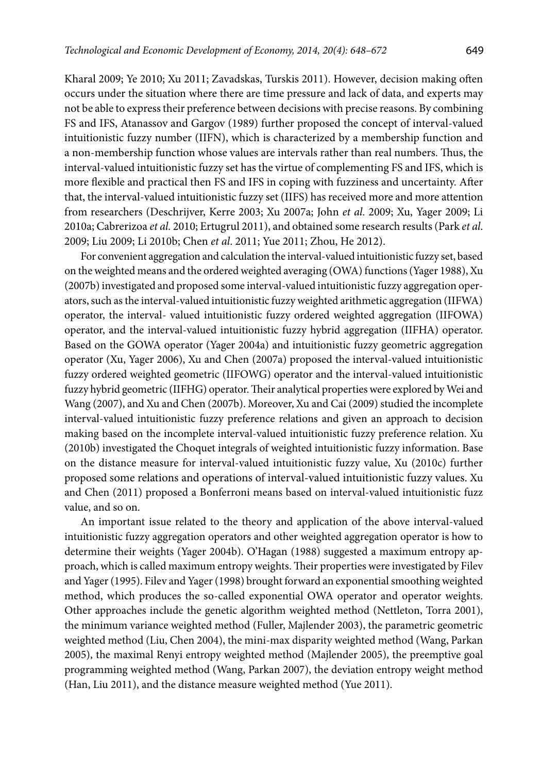Kharal 2009; Ye 2010; Xu 2011; Zavadskas, Turskis 2011). However, decision making often occurs under the situation where there are time pressure and lack of data, and experts may not be able to express their preference between decisions with precise reasons. By combining FS and IFS, Atanassov and Gargov (1989) further proposed the concept of interval-valued intuitionistic fuzzy number (IIFN), which is characterized by a membership function and a non-membership function whose values are intervals rather than real numbers. Thus, the interval-valued intuitionistic fuzzy set has the virtue of complementing FS and IFS, which is more flexible and practical then FS and IFS in coping with fuzziness and uncertainty. After that, the interval-valued intuitionistic fuzzy set (IIFS) has received more and more attention from researchers (Deschrijver, Kerre 2003; Xu 2007a; John *et al*. 2009; Xu, Yager 2009; Li 2010a; Cabrerizoa *et al.* 2010; Ertugrul 2011), and obtained some research results (Park *et al*. 2009; Liu 2009; Li 2010b; Chen *et al*. 2011; Yue 2011; Zhou, He 2012).

For convenient aggregation and calculation the interval-valued intuitionistic fuzzy set, based on the weighted means and the ordered weighted averaging (OWA) functions (Yager 1988), Xu (2007b) investigated and proposed some interval-valued intuitionistic fuzzy aggregation operators, such as the interval-valued intuitionistic fuzzy weighted arithmetic aggregation (IIFWA) operator, the interval- valued intuitionistic fuzzy ordered weighted aggregation (IIFOWA) operator, and the interval-valued intuitionistic fuzzy hybrid aggregation (IIFHA) operator. Based on the GOWA operator (Yager 2004a) and intuitionistic fuzzy geometric aggregation operator (Xu, Yager 2006), Xu and Chen (2007a) proposed the interval-valued intuitionistic fuzzy ordered weighted geometric (IIFOWG) operator and the interval-valued intuitionistic fuzzy hybrid geometric (IIFHG) operator. Their analytical properties were explored by Wei and Wang (2007), and Xu and Chen (2007b). Moreover, Xu and Cai (2009) studied the incomplete interval-valued intuitionistic fuzzy preference relations and given an approach to decision making based on the incomplete interval-valued intuitionistic fuzzy preference relation. Xu (2010b) investigated the Choquet integrals of weighted intuitionistic fuzzy information. Base on the distance measure for interval-valued intuitionistic fuzzy value, Xu (2010c) further proposed some relations and operations of interval-valued intuitionistic fuzzy values. Xu and Chen (2011) proposed a Bonferroni means based on interval-valued intuitionistic fuzz value, and so on.

An important issue related to the theory and application of the above interval-valued intuitionistic fuzzy aggregation operators and other weighted aggregation operator is how to determine their weights (Yager 2004b). O'Hagan (1988) suggested a maximum entropy approach, which is called maximum entropy weights. Their properties were investigated by Filev and Yager (1995). Filev and Yager (1998) brought forward an exponential smoothing weighted method, which produces the so-called exponential OWA operator and operator weights. Other approaches include the genetic algorithm weighted method (Nettleton, Torra 2001), the minimum variance weighted method (Fuller, Majlender 2003), the parametric geometric weighted method (Liu, Chen 2004), the mini-max disparity weighted method (Wang, Parkan 2005), the maximal Renyi entropy weighted method (Majlender 2005), the preemptive goal programming weighted method (Wang, Parkan 2007), the deviation entropy weight method (Han, Liu 2011), and the distance measure weighted method (Yue 2011).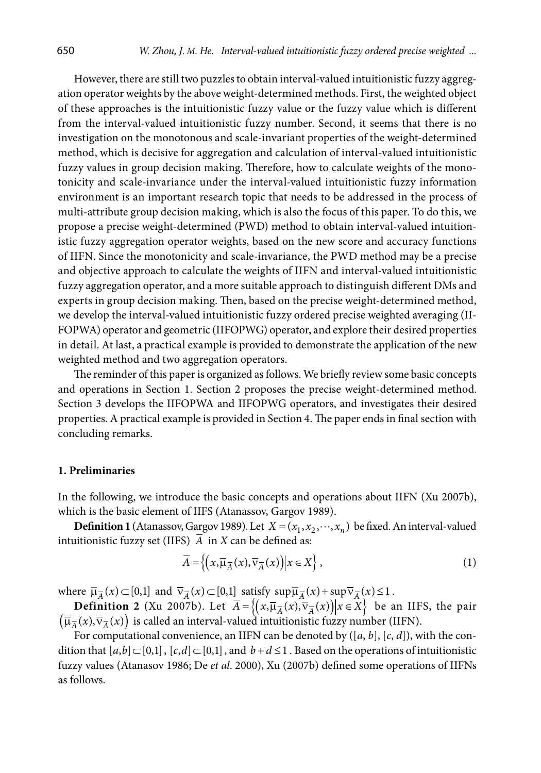However, there are still two puzzles to obtain interval-valued intuitionistic fuzzy aggregation operator weights by the above weight-determined methods. First, the weighted object of these approaches is the intuitionistic fuzzy value or the fuzzy value which is different from the interval-valued intuitionistic fuzzy number. Second, it seems that there is no investigation on the monotonous and scale-invariant properties of the weight-determined method, which is decisive for aggregation and calculation of interval-valued intuitionistic fuzzy values in group decision making. Therefore, how to calculate weights of the monotonicity and scale-invariance under the interval-valued intuitionistic fuzzy information environment is an important research topic that needs to be addressed in the process of multi-attribute group decision making, which is also the focus of this paper. To do this, we propose a precise weight-determined (PWD) method to obtain interval-valued intuitionistic fuzzy aggregation operator weights, based on the new score and accuracy functions of IIFN. Since the monotonicity and scale-invariance, the PWD method may be a precise and objective approach to calculate the weights of IIFN and interval-valued intuitionistic fuzzy aggregation operator, and a more suitable approach to distinguish different DMs and experts in group decision making. Then, based on the precise weight-determined method, we develop the interval-valued intuitionistic fuzzy ordered precise weighted averaging (II-FOPWA) operator and geometric (IIFOPWG) operator, and explore their desired properties in detail. At last, a practical example is provided to demonstrate the application of the new weighted method and two aggregation operators.

The reminder of this paper is organized as follows. We briefly review some basic concepts and operations in Section 1. Section 2 proposes the precise weight-determined method. Section 3 develops the IIFOPWA and IIFOPWG operators, and investigates their desired properties. A practical example is provided in Section 4. The paper ends in final section with concluding remarks.

#### **1. Preliminaries**

In the following, we introduce the basic concepts and operations about IIFN (Xu 2007b), which is the basic element of IIFS (Atanassov, Gargov 1989).

**Definition 1** (Atanassov, Gargov 1989). Let  $X = (x_1, x_2, \dots, x_n)$  be fixed. An interval-valued intuitionistic fuzzy set (IIFS)  $\overline{A}$  in *X* can be defined as:

$$
\overline{A} = \left\{ \left( x, \overline{\mu}_{\overline{A}}(x), \overline{\nu}_{\overline{A}}(x) \right) \middle| x \in X \right\},\tag{1}
$$

where  $\overline{\mu}_{\overline{A}}(x) \subset [0,1]$  and  $\overline{v}_{\overline{A}}(x) \subset [0,1]$  satisfy  $\sup \overline{\mu}_{\overline{A}}(x) + \sup \overline{v}_{\overline{A}}(x) \leq 1$ .

**Definition 2** (Xu 2007b). Let  $\overline{A} = \left\{ (x, \overline{\mu}_{\overline{A}}(x), \overline{\nu}_{\overline{A}}(x)) | x \in X \right\}$  be an IIFS, the pair  $(\overline{\mu}_{\overline{A}}(x), \overline{\nu}_{\overline{A}}(x))$  is called an interval-valued intuitionistic fuzzy number (IIFN).

For computational convenience, an IIFN can be denoted by ([*a*, *b*], [*c*, *d*]), with the condition that  $[a,b] \subset [0,1]$ ,  $[c,d] \subset [0,1]$ , and  $b+d \leq 1$ . Based on the operations of intuitionistic fuzzy values (Atanasov 1986; De *et al*. 2000), Xu (2007b) defined some operations of IIFNs as follows.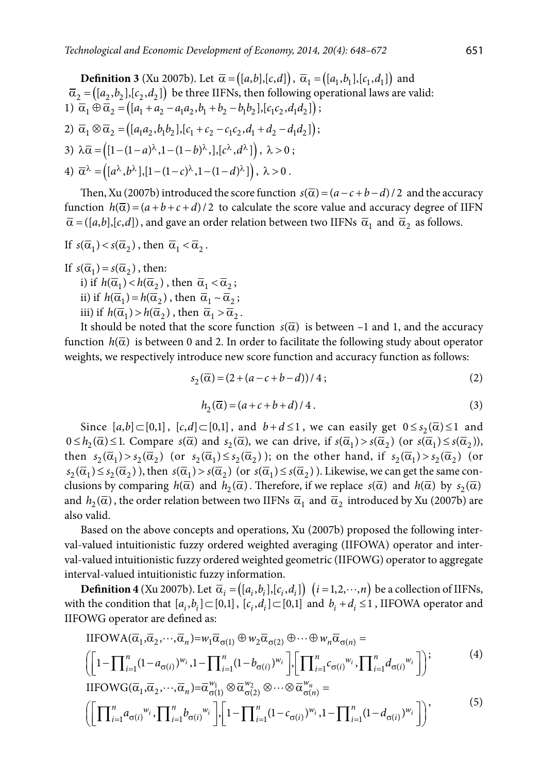**Definition 3** (Xu 2007b). Let  $\bar{\alpha} = ([a,b],[c,d])$ ,  $\bar{\alpha}_1 = ([a_1,b_1],[c_1,d_1])$  and  $\overline{\alpha}_2 = (a_1, b_1], [c_1, d_1]$  be three IIFNs, then following operational laws are valid: 1)  $\overline{\alpha}_1 \oplus \overline{\alpha}_2 = ( [a_1 + a_2 - a_1 a_2, b_1 + b_2 - b_1 b_2], [c_1 c_2, d_1 d_2] )$ ; 2)  $\overline{\alpha}_1 \otimes \overline{\alpha}_2 = ( [a_1 a_2, b_1 b_2], [c_1 + c_2 - c_1 c_2, d_1 + d_2 - d_1 d_2 ]);$ 3)  $\lambda \overline{\alpha} = \left( \left[1 - (1 - a)^{\lambda}, 1 - (1 - b)^{\lambda}, \right], \left[c^{\lambda}, d^{\lambda}\right] \right), \lambda > 0;$ 4)  $\overline{\alpha}^{\lambda} = ((a^{\lambda}, b^{\lambda}), [1 - (1 - c)^{\lambda}, 1 - (1 - d)^{\lambda}]), \lambda > 0.$ 

Then, Xu (2007b) introduced the score function  $s(\overline{\alpha}) = (a - c + b - d)/2$  and the accuracy function  $h(\overline{\alpha}) = (a+b+c+d)/2$  to calculate the score value and accuracy degree of IIFN  $\overline{\alpha}$  = ([a,b],[c,d]), and gave an order relation between two IIFNs  $\overline{\alpha}_1$  and  $\overline{\alpha}_2$  as follows.

If 
$$
s(\overline{\alpha}_1) < s(\overline{\alpha}_2)
$$
, then  $\overline{\alpha}_1 < \overline{\alpha}_2$ .

If  $s(\overline{\alpha}_1) = s(\overline{\alpha}_2)$ , then:

i) if  $h(\overline{\alpha}_1) < h(\overline{\alpha}_2)$ , then  $\overline{\alpha}_1 < \overline{\alpha}_2$ ; ii) if  $h(\overline{\alpha}_1) = h(\overline{\alpha}_2)$ , then  $\overline{\alpha}_1 \sim \overline{\alpha}_2$ ;

iii) if 
$$
h(\overline{\alpha}_1) > h(\overline{\alpha}_2)
$$
, then  $\overline{\alpha}_1 > \overline{\alpha}_2$ .

It should be noted that the score function  $s(\overline{\alpha})$  is between –1 and 1, and the accuracy function  $h(\overline{\alpha})$  is between 0 and 2. In order to facilitate the following study about operator weights, we respectively introduce new score function and accuracy function as follows:

$$
s_2(\overline{\alpha}) = (2 + (a - c + b - d))/4; \tag{2}
$$

$$
h_2(\overline{\alpha}) = (a+c+b+d)/4.
$$
 (3)

Since  $[a,b] \subset [0,1]$ ,  $[c,d] \subset [0,1]$ , and  $b+d \leq 1$ , we can easily get  $0 \leq s<sub>2</sub>(\overline{\alpha}) \leq 1$  and  $0 \le h_2(\overline{\alpha}) \le 1$ . Compare  $s(\overline{\alpha})$  and  $s_2(\overline{\alpha})$ , we can drive, if  $s(\overline{\alpha}_1) > s(\overline{\alpha}_2)$  (or  $s(\overline{\alpha}_1) \le s(\overline{\alpha}_2)$ ), then  $s_2(\overline{\alpha}_1) > s_2(\overline{\alpha}_2)$  (or  $s_2(\overline{\alpha}_1) \leq s_2(\overline{\alpha}_2)$ ); on the other hand, if  $s_2(\overline{\alpha}_1) > s_2(\overline{\alpha}_2)$  (or  $s_2(\overline{\alpha}_1) \leq s_2(\overline{\alpha}_2)$ , then  $s(\overline{\alpha}_1) > s(\overline{\alpha}_2)$  (or  $s(\overline{\alpha}_1) \leq s(\overline{\alpha}_2)$ ). Likewise, we can get the same conclusions by comparing  $h(\overline{\alpha})$  and  $h_2(\overline{\alpha})$ . Therefore, if we replace  $s(\overline{\alpha})$  and  $h(\overline{\alpha})$  by  $s_2(\overline{\alpha})$ and  $h_2(\overline{\alpha})$ , the order relation between two IIFNs  $\overline{\alpha}_1$  and  $\overline{\alpha}_2$  introduced by Xu (2007b) are also valid.

Based on the above concepts and operations, Xu (2007b) proposed the following interval-valued intuitionistic fuzzy ordered weighted averaging (IIFOWA) operator and interval-valued intuitionistic fuzzy ordered weighted geometric (IIFOWG) operator to aggregate interval-valued intuitionistic fuzzy information.

**Definition 4** (Xu 2007b). Let  $\overline{\alpha}_i = (a_i, b_i], [c_i, d_i]$   $(i = 1, 2, \dots, n)$  be a collection of IIFNs, with the condition that  $[a_i, b_i] \subset [0,1]$ ,  $[c_i, d_i] \subset [0,1]$  and  $b_i + d_i \le 1$ , IIFOWA operator and IIFOWG operator are defined as:

$$
\text{IIFOWA}(\overline{\alpha}_1, \overline{\alpha}_2, \cdots, \overline{\alpha}_n) = w_1 \overline{\alpha}_{\sigma(1)} \oplus w_2 \overline{\alpha}_{\sigma(2)} \oplus \cdots \oplus w_n \overline{\alpha}_{\sigma(n)} =
$$
\n
$$
\left( \left[ 1 - \prod_{i=1}^n (1 - a_{\sigma(i)})^{w_i}, 1 - \prod_{i=1}^n (1 - b_{\sigma(i)})^{w_i} \right], \left[ \prod_{i=1}^n c_{\sigma(i)}^{w_i}, \prod_{i=1}^n d_{\sigma(i)}^{w_i} \right] \right); \tag{4}
$$

$$
\text{IIFOWG}(\overline{\alpha}_1, \overline{\alpha}_2, \cdots, \overline{\alpha}_n) = \overline{\alpha}_{\sigma(1)}^{w_1} \otimes \overline{\alpha}_{\sigma(2)}^{w_2} \otimes \cdots \otimes \overline{\alpha}_{\sigma(n)}^{w_n} = \left( \left[ \prod_{i=1}^n a_{\sigma(i)}^{w_i}, \prod_{i=1}^n b_{\sigma(i)}^{w_i} \right] \left[ 1 - \prod_{i=1}^n (1 - c_{\sigma(i)})^{w_i}, 1 - \prod_{i=1}^n (1 - d_{\sigma(i)})^{w_i} \right] \right), \tag{5}
$$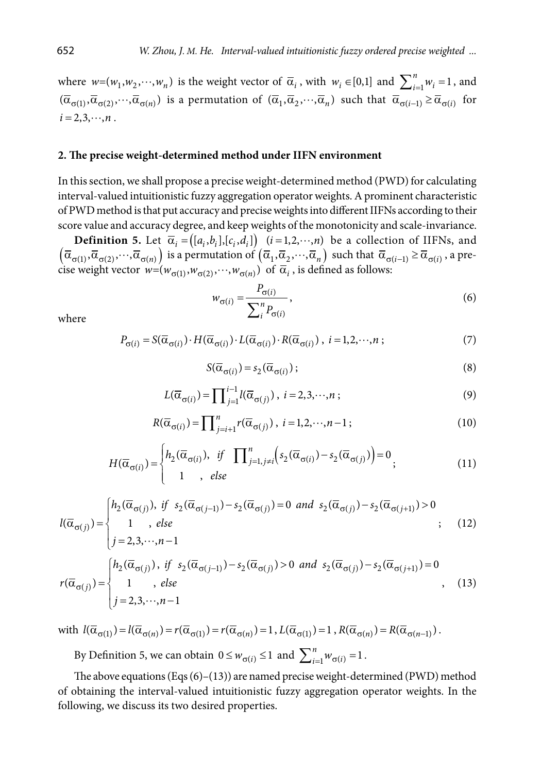where  $w=(w_1, w_2, \dots, w_n)$  is the weight vector of  $\overline{\alpha}_i$ , with  $w_i \in [0,1]$  and  $\sum_{i=1}^n w_i = 1$ , and  $(\overline{\alpha}_{\sigma(1)}, \overline{\alpha}_{\sigma(2)}, \dots, \overline{\alpha}_{\sigma(n)})$  is a permutation of  $(\overline{\alpha}_1, \overline{\alpha}_2, \dots, \overline{\alpha}_n)$  such that  $\overline{\alpha}_{\sigma(i-1)} \ge \overline{\alpha}_{\sigma(i)}$  for  $i = 2, 3, \dots, n$ .

#### **2. The precise weight-determined method under IIFN environment**

In this section, we shall propose a precise weight-determined method (PWD) for calculating interval-valued intuitionistic fuzzy aggregation operator weights. A prominent characteristic of PWD method is that put accuracy and precise weights into different IIFNs according to their score value and accuracy degree, and keep weights of the monotonicity and scale-invariance.

**Definition 5.** Let  $\overline{\alpha}_i = ([a_i, b_i], [c_i, d_i])$   $(i = 1, 2, \dots, n)$  be a collection of IIFNs, and  $(\overline{\alpha}_{\sigma(1)}, \overline{\alpha}_{\sigma(2)}, \cdots, \overline{\alpha}_{\sigma(n)})$  is a permutation of  $(\overline{\alpha}_1, \overline{\alpha}_2, \cdots, \overline{\alpha}_n)$  such that  $\overline{\alpha}_{\sigma(i-1)} \geq \overline{\alpha}_{\sigma(i)}$ , a precise weight vector  $w=(w_{\sigma(1)}, w_{\sigma(2)}, \cdots, w_{\sigma(n)})$  of  $\overline{\alpha}_i$ , is defined as follows:

$$
w_{\sigma(i)} = \frac{P_{\sigma(i)}}{\sum_{i}^{n} P_{\sigma(i)}},
$$
\n(6)

where

$$
P_{\sigma(i)} = S(\overline{\alpha}_{\sigma(i)}) \cdot H(\overline{\alpha}_{\sigma(i)}) \cdot L(\overline{\alpha}_{\sigma(i)}) \cdot R(\overline{\alpha}_{\sigma(i)}) , i = 1, 2, \cdots, n ;
$$
 (7)

$$
S(\overline{\alpha}_{\sigma(i)}) = s_2(\overline{\alpha}_{\sigma(i)}); \tag{8}
$$

$$
L(\overline{\alpha}_{\sigma(i)}) = \prod_{j=1}^{i-1} l(\overline{\alpha}_{\sigma(j)}) , i = 2, 3, \cdots, n ;
$$
 (9)

$$
R(\overline{\alpha}_{\sigma(i)}) = \prod_{j=i+1}^{n} r(\overline{\alpha}_{\sigma(j)}), \ i = 1, 2, \cdots, n-1; \tag{10}
$$

$$
H(\overline{\alpha}_{\sigma(i)}) = \begin{cases} h_2(\overline{\alpha}_{\sigma(i)}), & \text{if} \quad \prod_{j=1, j\neq i}^n \left( s_2(\overline{\alpha}_{\sigma(i)}) - s_2(\overline{\alpha}_{\sigma(j)}) \right) = 0 \\ 1, & \text{else} \end{cases} \tag{11}
$$

$$
l(\overline{\alpha}_{\sigma(j)}) = \begin{cases} h_2(\overline{\alpha}_{\sigma(j)}), & \text{if } s_2(\overline{\alpha}_{\sigma(j-1)}) - s_2(\overline{\alpha}_{\sigma(j)}) = 0 \text{ and } s_2(\overline{\alpha}_{\sigma(j)}) - s_2(\overline{\alpha}_{\sigma(j+1)}) > 0 \\ 1, & \text{else} \end{cases}
$$
\n
$$
r(\overline{\alpha}_{\sigma(j)}) = \begin{cases} h_2(\overline{\alpha}_{\sigma(j)}), & \text{if } s_2(\overline{\alpha}_{\sigma(j-1)}) - s_2(\overline{\alpha}_{\sigma(j)}) > 0 \text{ and } s_2(\overline{\alpha}_{\sigma(j)}) - s_2(\overline{\alpha}_{\sigma(j+1)}) = 0 \\ 1, & \text{else} \end{cases}
$$
\n
$$
r(\overline{\alpha}_{\sigma(j)}) = \begin{cases} h_2(\overline{\alpha}_{\sigma(j)}), & \text{if } s_2(\overline{\alpha}_{\sigma(j-1)}) - s_2(\overline{\alpha}_{\sigma(j)}) > 0 \text{ and } s_2(\overline{\alpha}_{\sigma(j)}) - s_2(\overline{\alpha}_{\sigma(j+1)}) = 0 \\ 1, & \text{else} \end{cases}
$$
\n
$$
(13)
$$

with  $l(\overline{\alpha}_{\sigma(1)}) = l(\overline{\alpha}_{\sigma(n)}) = r(\overline{\alpha}_{\sigma(1)}) = r(\overline{\alpha}_{\sigma(n)}) = 1$ ,  $L(\overline{\alpha}_{\sigma(1)}) = 1$ ,  $R(\overline{\alpha}_{\sigma(n)}) = R(\overline{\alpha}_{\sigma(n-1)})$ .

By Definition 5, we can obtain  $0 \le w_{\sigma(i)} \le 1$  and  $\sum_{i=1}^{n} w_{\sigma(i)} = 1$ .

The above equations (Eqs  $(6)-(13)$ ) are named precise weight-determined (PWD) method of obtaining the interval-valued intuitionistic fuzzy aggregation operator weights. In the following, we discuss its two desired properties.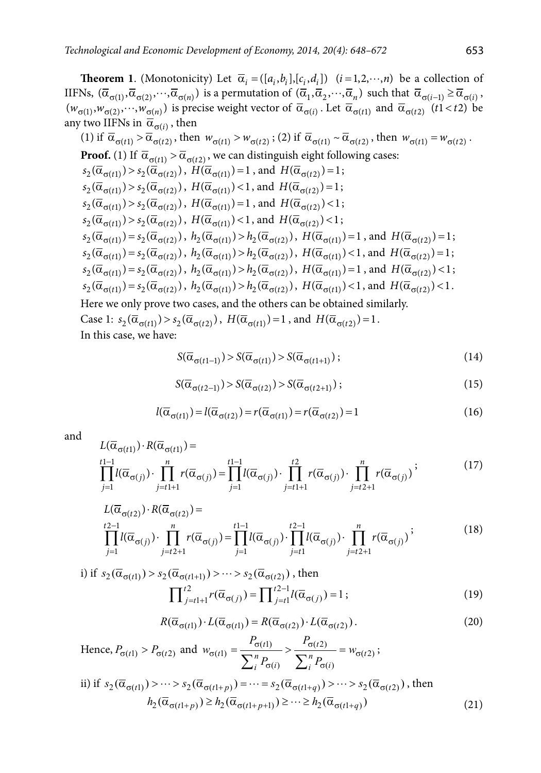**Theorem 1**. (Monotonicity) Let  $\overline{\alpha}_i = (\overline{[a_i, b_i]}, [c_i, d_i])$   $(i = 1, 2, \dots, n)$  be a collection of IIFNs,  $(\overline{\alpha}_{\sigma(1)}, \overline{\alpha}_{\sigma(2)}, \cdots, \overline{\alpha}_{\sigma(n)})$  is a permutation of  $(\overline{\alpha}_1, \overline{\alpha}_2, \cdots, \overline{\alpha}_n)$  such that  $\overline{\alpha}_{\sigma(i-1)} \ge \overline{\alpha}_{\sigma(i)}$ ,  $(w_{\sigma(1)}, w_{\sigma(2)}, \dots, w_{\sigma(n)})$  is precise weight vector of  $\overline{\alpha}_{\sigma(i)}$ . Let  $\overline{\alpha}_{\sigma(t)}$  and  $\overline{\alpha}_{\sigma(t2)}$   $(t1 < t2)$  be any two IIFNs in  $\bar{\alpha}_{\sigma(i)}$ , then

(1) if 
$$
\overline{\alpha}_{\sigma(t1)} > \overline{\alpha}_{\sigma(t2)}
$$
, then  $w_{\sigma(t1)} > w_{\sigma(t2)}$ ; (2) if  $\overline{\alpha}_{\sigma(t1)} \sim \overline{\alpha}_{\sigma(t2)}$ , then  $w_{\sigma(t1)} = w_{\sigma(t2)}$ .  
\n**Proof.** (1) If  $\overline{\alpha}_{\sigma(t1)} > \overline{\alpha}_{\sigma(t2)}$ , we can distinguish eight following cases:  
\n $s_2(\overline{\alpha}_{\sigma(t1)}) > s_2(\overline{\alpha}_{\sigma(t2)})$ ,  $H(\overline{\alpha}_{\sigma(t1)}) = 1$ , and  $H(\overline{\alpha}_{\sigma(t2)}) = 1$ ;  
\n $s_2(\overline{\alpha}_{\sigma(t1)}) > s_2(\overline{\alpha}_{\sigma(t2)})$ ,  $H(\overline{\alpha}_{\sigma(t1)}) < 1$ , and  $H(\overline{\alpha}_{\sigma(t2)}) = 1$ ;  
\n $s_2(\overline{\alpha}_{\sigma(t1)}) > s_2(\overline{\alpha}_{\sigma(t2)})$ ,  $H(\overline{\alpha}_{\sigma(t1)}) = 1$ , and  $H(\overline{\alpha}_{\sigma(t2)}) < 1$ ;  
\n $s_2(\overline{\alpha}_{\sigma(t1)}) > s_2(\overline{\alpha}_{\sigma(t2)})$ ,  $H(\overline{\alpha}_{\sigma(t1)}) < 1$ , and  $H(\overline{\alpha}_{\sigma(t2)}) < 1$ ;  
\n $s_2(\overline{\alpha}_{\sigma(t1)}) = s_2(\overline{\alpha}_{\sigma(t2)})$ ,  $h_2(\overline{\alpha}_{\sigma(t1)}) > h_2(\overline{\alpha}_{\sigma(t2)})$ ,  $H(\overline{\alpha}_{\sigma(t1)}) = 1$ , and  $H(\overline{\alpha}_{\sigma(t2)}) = 1$ ;  
\n $s_2(\overline{\alpha}_{\sigma(t1)}) = s_2(\overline{\alpha}_{\sigma(t2)})$ ,  $h_2(\overline{\alpha}_{\sigma(t1)}) > h_2(\overline{\alpha}_{\sigma(t2)})$ ,  $H(\overline{\alpha}_{\sigma(t1)}) < 1$ , and  $H(\overline{\alpha}_{\sigma(t2)}) = 1$ ;  
\n $s_2(\overline{\alpha}_{\sigma(t1)}) = s_2(\overline{\alpha}_{\sigma(t2)})$ ,  $h_2(\overline{\alpha}_{\sigma(t1)}) > h_2(\overline{\alpha}_{\sigma(t2)})$ 

$$
S(\overline{\alpha}_{\sigma(t1-1)}) > S(\overline{\alpha}_{\sigma(t1)}) > S(\overline{\alpha}_{\sigma(t1+1)}); \tag{14}
$$

$$
S(\overline{\alpha}_{\sigma(t2-1)}) > S(\overline{\alpha}_{\sigma(t2)}) > S(\overline{\alpha}_{\sigma(t2+1)}); \tag{15}
$$

$$
l(\overline{\alpha}_{\sigma(t1)}) = l(\overline{\alpha}_{\sigma(t2)}) = r(\overline{\alpha}_{\sigma(t1)}) = r(\overline{\alpha}_{\sigma(t2)}) = 1
$$
\n(16)

and

$$
L(\overline{\alpha}_{\sigma(t1)}) \cdot R(\overline{\alpha}_{\sigma(t1)}) = \prod_{\substack{i=1 \ i \neq j}}^{t1-1} l(\overline{\alpha}_{\sigma(j)}) \cdot \prod_{j=t}^{n} r(\overline{\alpha}_{\sigma(j)}) \cdot \prod_{j=t+1}^{t2} r(\overline{\alpha}_{\sigma(j)}) \cdot \prod_{j=t+1}^{n} r(\overline{\alpha}_{\sigma(j)}) \cdot \prod_{j=t+1}^{n} r(\overline{\alpha}_{\sigma(j)})
$$
\n
$$
(17)
$$

$$
L(\overline{\alpha}_{\sigma(t2)}) \cdot R(\overline{\alpha}_{\sigma(t2)}) = \prod_{\substack{i=1 \ j=1}}^{t-1} l(\overline{\alpha}_{\sigma(j)}) \cdot \prod_{j=t+1}^{n} r(\overline{\alpha}_{\sigma(j)}) = \prod_{j=1}^{t-1} l(\overline{\alpha}_{\sigma(j)}) \cdot \prod_{j=t+1}^{t-1} l(\overline{\alpha}_{\sigma(j)}) \cdot \prod_{j=t+1}^{n} r(\overline{\alpha}_{\sigma(j)})^{\frac{t}{2}} \tag{18}
$$

i) if 
$$
s_2(\overline{\alpha}_{\sigma(t1)}) > s_2(\overline{\alpha}_{\sigma(t1+l)}) > \cdots > s_2(\overline{\alpha}_{\sigma(t2)})
$$
, then  
\n
$$
\prod_{j=t1+l}^{t2} r(\overline{\alpha}_{\sigma(j)}) = \prod_{j=t1}^{t2-l} l(\overline{\alpha}_{\sigma(j)}) = 1;
$$
\n(19)

$$
R(\overline{\alpha}_{\sigma(t1)}) \cdot L(\overline{\alpha}_{\sigma(t1)}) = R(\overline{\alpha}_{\sigma(t2)}) \cdot L(\overline{\alpha}_{\sigma(t2)}).
$$
\n(20)

Hence, 
$$
P_{\sigma(t1)} > P_{\sigma(t2)}
$$
 and  $w_{\sigma(t1)} = \frac{P_{\sigma(t1)}}{\sum_{i}^{n} P_{\sigma(i)}} > \frac{P_{\sigma(t2)}}{\sum_{i}^{n} P_{\sigma(i)}} = w_{\sigma(t2)};$   
\nii) if  $s_2(\overline{\alpha}_{\sigma(t1)}) > \cdots > s_2(\overline{\alpha}_{\sigma(t1+p)}) = \cdots = s_2(\overline{\alpha}_{\sigma(t1+q)}) > \cdots > s_2(\overline{\alpha}_{\sigma(t2)}),$  then  
\n $h_2(\overline{\alpha}_{\sigma(t1+p)}) \geq h_2(\overline{\alpha}_{\sigma(t1+p+1)}) \geq \cdots \geq h_2(\overline{\alpha}_{\sigma(t1+q)})$  (21)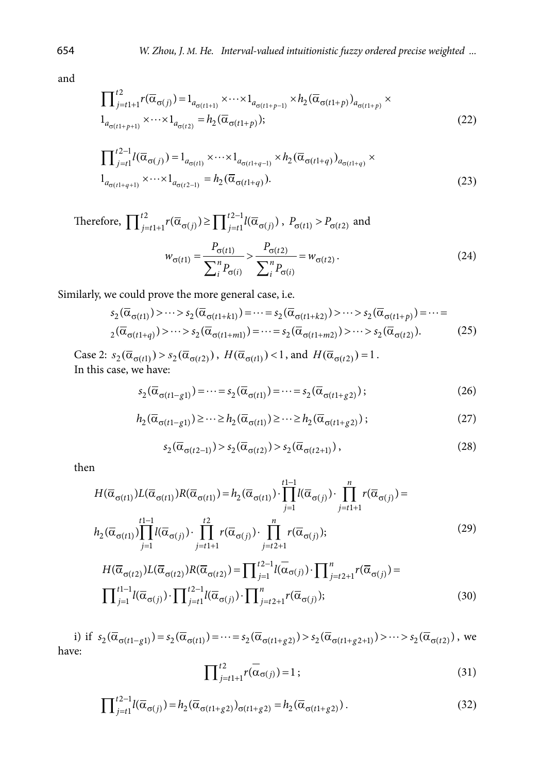and

$$
\prod_{j=t1+1}^{t2} r(\overline{\alpha}_{\sigma(j)}) = 1_{a_{\sigma(t1+1)}} \times \cdots \times 1_{a_{\sigma(t1+p-1)}} \times h_2(\overline{\alpha}_{\sigma(t1+p)})_{a_{\sigma(t1+p)}} \times \cdots \times 1_{a_{\sigma(t1+p+1)}} \times \cdots \times 1_{a_{\sigma(t2)}} = h_2(\overline{\alpha}_{\sigma(t1+p)});
$$
\n(22)

$$
\prod_{j=1}^{t-1} l(\overline{\alpha}_{\sigma(j)}) = 1_{a_{\sigma(t)}} \times \cdots \times 1_{a_{\sigma(t+q-1)}} \times h_2(\overline{\alpha}_{\sigma(t+q)})_{a_{\sigma(t+q)}} \times
$$
  

$$
1_{a_{\sigma(t+q+1)}} \times \cdots \times 1_{a_{\sigma(t-1)}} = h_2(\overline{\alpha}_{\sigma(t+q)}).
$$
 (23)

Therefore, 
$$
\prod_{j=t}^{t2} r(\overline{\alpha}_{\sigma(j)}) \ge \prod_{j=t}^{t2-1} l(\overline{\alpha}_{\sigma(j)}) \, , \, P_{\sigma(t1)} > P_{\sigma(t2)} \text{ and}
$$
\n
$$
w_{\sigma(t1)} = \frac{P_{\sigma(t1)}}{\sum_{i}^{n} P_{\sigma(i)}} > \frac{P_{\sigma(t2)}}{\sum_{i}^{n} P_{\sigma(i)}} = w_{\sigma(t2)} \, . \tag{24}
$$

Similarly, we could prove the more general case, i.e.

$$
s_2(\overline{\alpha}_{\sigma(t1)}) > \cdots > s_2(\overline{\alpha}_{\sigma(t1+k1)}) = \cdots = s_2(\overline{\alpha}_{\sigma(t1+k2)}) > \cdots > s_2(\overline{\alpha}_{\sigma(t1+p)}) = \cdots = 2(\overline{\alpha}_{\sigma(t1+q)}) > \cdots > s_2(\overline{\alpha}_{\sigma(t1+ml)}) = \cdots = s_2(\overline{\alpha}_{\sigma(t1+m2)}) > \cdots > s_2(\overline{\alpha}_{\sigma(t2)}).
$$
 (25)

Case 2:  $s_2(\overline{\alpha}_{\sigma(t1)}) > s_2(\overline{\alpha}_{\sigma(t2)})$ ,  $H(\overline{\alpha}_{\sigma(t1)}) < 1$ , and  $H(\overline{\alpha}_{\sigma(t2)}) = 1$ . In this case, we have:

$$
s_2(\overline{\alpha}_{\sigma(t1-g1)}) = \dots = s_2(\overline{\alpha}_{\sigma(t1)}) = \dots = s_2(\overline{\alpha}_{\sigma(t1+g2)});
$$
\n(26)

$$
h_2(\overline{\alpha}_{\sigma(t1-g1)}) \ge \dots \ge h_2(\overline{\alpha}_{\sigma(t1)}) \ge \dots \ge h_2(\overline{\alpha}_{\sigma(t1+g2)});
$$
\n(27)

$$
s_2(\overline{\alpha}_{\sigma(t2-1)}) > s_2(\overline{\alpha}_{\sigma(t2)}) > s_2(\overline{\alpha}_{\sigma(t2+1)}),
$$
\n(28)

then

$$
H(\overline{\alpha}_{\sigma(t1)})L(\overline{\alpha}_{\sigma(t1)})R(\overline{\alpha}_{\sigma(t1)}) = h_2(\overline{\alpha}_{\sigma(t1)}) \cdot \prod_{j=1}^{t-1} l(\overline{\alpha}_{\sigma(j)}) \cdot \prod_{j=t+1}^{n} r(\overline{\alpha}_{\sigma(j)}) =
$$
  
\n
$$
h_2(\overline{\alpha}_{\sigma(t1)}) \prod_{j=1}^{t-1} l(\overline{\alpha}_{\sigma(j)}) \cdot \prod_{j=t+1}^{t^2} r(\overline{\alpha}_{\sigma(j)}) \cdot \prod_{j=t+1}^{n} r(\overline{\alpha}_{\sigma(j)});
$$
\n
$$
H(\overline{\alpha}_{\sigma(t1)}) \prod_{j=t+1}^{t-1} l(\overline{\alpha}_{\sigma(j)}) \cdot \prod_{j=t+1}^{n} r(\overline{\alpha}_{\sigma(j)});
$$
\n
$$
(29)
$$

$$
H(\overline{\alpha}_{\sigma(t2)})L(\overline{\alpha}_{\sigma(t2)})R(\overline{\alpha}_{\sigma(t2)}) = \prod_{j=1}^{t-1} l(\overline{\alpha}_{\sigma(j)}) \cdot \prod_{j=t}^{n} r(\overline{\alpha}_{\sigma(j)}) =
$$

$$
\prod_{j=1}^{t-1} l(\overline{\alpha}_{\sigma(j)}) \cdot \prod_{j=t}^{t-1} l(\overline{\alpha}_{\sigma(j)}) \cdot \prod_{j=t+1}^{n} r(\overline{\alpha}_{\sigma(j)});
$$
(30)

i) if  $s_2(\overline{\alpha}_{\sigma(t1-g1)}) = s_2(\overline{\alpha}_{\sigma(t1)}) = \cdots = s_2(\overline{\alpha}_{\sigma(t1+g2)}) > s_2(\overline{\alpha}_{\sigma(t1+g2+1)}) > \cdots > s_2(\overline{\alpha}_{\sigma(t2)})$ , we have:

$$
\prod_{j=t}^{t} \left( \overline{\alpha}_{\sigma(j)} \right) = 1 ; \tag{31}
$$

$$
\prod_{j=t}^{t-1} l(\overline{\alpha}_{\sigma(j)}) = h_2(\overline{\alpha}_{\sigma(t1+g2)})_{\sigma(t1+g2)} = h_2(\overline{\alpha}_{\sigma(t1+g2)})\,. \tag{32}
$$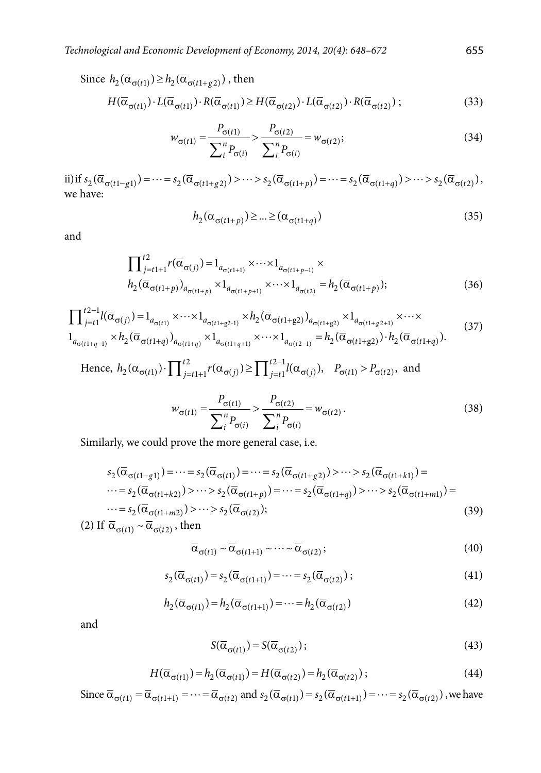Since 
$$
h_2(\overline{\alpha}_{\sigma(t1)}) \ge h_2(\overline{\alpha}_{\sigma(t1+g2)})
$$
, then

$$
H(\overline{\alpha}_{\sigma(t1)}) \cdot L(\overline{\alpha}_{\sigma(t1)}) \cdot R(\overline{\alpha}_{\sigma(t1)}) \ge H(\overline{\alpha}_{\sigma(t2)}) \cdot L(\overline{\alpha}_{\sigma(t2)}) \cdot R(\overline{\alpha}_{\sigma(t2)}) ; \qquad (33)
$$

$$
w_{\sigma(t1)} = \frac{P_{\sigma(t1)}}{\sum_{i}^{n} P_{\sigma(i)}} > \frac{P_{\sigma(t2)}}{\sum_{i}^{n} P_{\sigma(i)}} = w_{\sigma(t2)};
$$
\n(34)

ii) if  $s_2(\overline{\alpha}_{\sigma(t1-g1)}) = \cdots = s_2(\overline{\alpha}_{\sigma(t1+g2)}) > \cdots > s_2(\overline{\alpha}_{\sigma(t1+p)}) = \cdots = s_2(\overline{\alpha}_{\sigma(t1+q)}) > \cdots > s_2(\overline{\alpha}_{\sigma(t2)})$ , we have:

$$
h_2(\alpha_{\sigma(t1+p)}) \ge \dots \ge (\alpha_{\sigma(t1+q)})
$$
\n(35)

and

$$
\prod_{j=t1+1}^{t2} r(\overline{\alpha}_{\sigma(j)}) = 1_{a_{\sigma(t1+1)}} \times \cdots \times 1_{a_{\sigma(t1+p-1)}} \times h_2(\overline{\alpha}_{\sigma(t1+p)})_{a_{\sigma(t1+p)}} \times 1_{a_{\sigma(t1+p+1)}} \times \cdots \times 1_{a_{\sigma(t2)}} = h_2(\overline{\alpha}_{\sigma(t1+p)});
$$
\n(36)

$$
\prod_{j=t1}^{t2-1} l(\overline{\alpha}_{\sigma(j)}) = 1_{a_{\sigma(t1)}} \times \cdots \times 1_{a_{\sigma(t1+g2-1)}} \times h_2(\overline{\alpha}_{\sigma(t1+g2)})_{a_{\sigma(t1+g2)}} \times 1_{a_{\sigma(t1+g2+1)}} \times \cdots \times 1_{a_{\sigma(t1+g-1)}} \times h_2(\overline{\alpha}_{\sigma(t1+g)})_{a_{\sigma(t1+g)}} \times 1_{a_{\sigma(t2-1)}} = h_2(\overline{\alpha}_{\sigma(t1+g2)}) \cdot h_2(\overline{\alpha}_{\sigma(t1+g)}).
$$
\n(37)

Hence,  $h_2(\alpha_{\sigma(t1)}) \cdot \prod_{j=t}^{t2} r(\alpha_{\sigma(j)}) \ge \prod_{j=t1}^{t2-1} l(\alpha_{\sigma(j)})$ ,  $P_{\sigma(t1)} > P_{\sigma(t2)}$ , and

$$
w_{\sigma(t1)} = \frac{P_{\sigma(t1)}}{\sum_{i}^{n} P_{\sigma(i)}} > \frac{P_{\sigma(t2)}}{\sum_{i}^{n} P_{\sigma(i)}} = w_{\sigma(t2)}.
$$
 (38)

Similarly, we could prove the more general case, i.e.

$$
s_2(\overline{\alpha}_{\sigma(t1-g1)}) = \dots = s_2(\overline{\alpha}_{\sigma(t1)}) = \dots = s_2(\overline{\alpha}_{\sigma(t1+g2)}) > \dots > s_2(\overline{\alpha}_{\sigma(t1+k1)}) = \dots = s_2(\overline{\alpha}_{\sigma(t1+k2)}) > \dots > s_2(\overline{\alpha}_{\sigma(t1+p)}) = \dots = s_2(\overline{\alpha}_{\sigma(t1+mg)}) > \dots > s_2(\overline{\alpha}_{\sigma(t1+mg)}) = \dots = s_2(\overline{\alpha}_{\sigma(t1+mg)}) > \dots > s_2(\overline{\alpha}_{\sigma(t2)});
$$
\n(39)

(2) If  $\overline{\alpha}_{\sigma(t)} \sim \overline{\alpha}_{\sigma(t)}$ , then

$$
\overline{\alpha}_{\sigma(t1)} \sim \overline{\alpha}_{\sigma(t1+1)} \sim \cdots \sim \overline{\alpha}_{\sigma(t2)}; \tag{40}
$$

$$
s_2(\overline{\alpha}_{\sigma(t1)}) = s_2(\overline{\alpha}_{\sigma(t1+1)}) = \dots = s_2(\overline{\alpha}_{\sigma(t2)});
$$
\n(41)

$$
h_2(\overline{\alpha}_{\sigma(t1)}) = h_2(\overline{\alpha}_{\sigma(t1+1)}) = \dots = h_2(\overline{\alpha}_{\sigma(t2)})
$$
\n(42)

and

$$
S(\overline{\alpha}_{\sigma(t1)}) = S(\overline{\alpha}_{\sigma(t2)}); \tag{43}
$$

$$
H(\overline{\alpha}_{\sigma(t1)}) = h_2(\overline{\alpha}_{\sigma(t1)}) = H(\overline{\alpha}_{\sigma(t2)}) = h_2(\overline{\alpha}_{\sigma(t2)});
$$
\n(44)

Since  $\overline{\alpha}_{\sigma(t1)} = \overline{\alpha}_{\sigma(t1+1)} = \cdots = \overline{\alpha}_{\sigma(t2)}$  and  $s_2(\overline{\alpha}_{\sigma(t1)}) = s_2(\overline{\alpha}_{\sigma(t1+1)}) = \cdots = s_2(\overline{\alpha}_{\sigma(t2)})$ , we have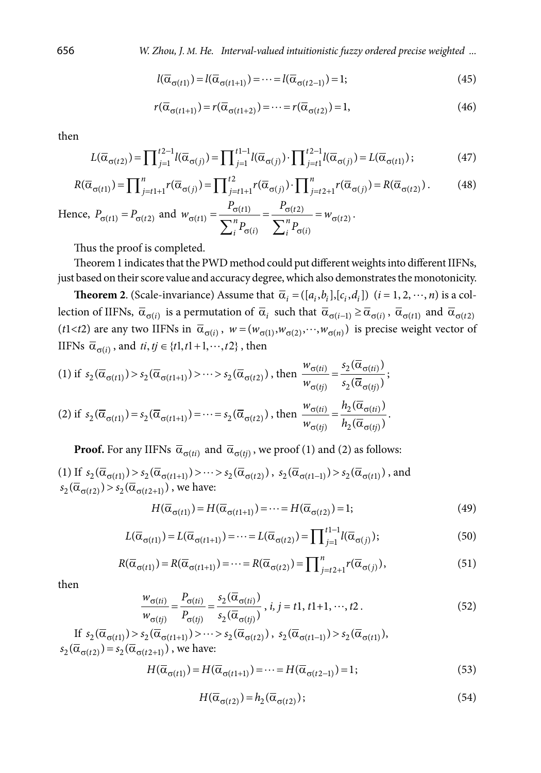656 *W. Zhou, J*. *M. He. Interval-valued intuitionistic fuzzy ordered precise weighted ...*

$$
l(\overline{\alpha}_{\sigma(t1)}) = l(\overline{\alpha}_{\sigma(t1+1)}) = \dots = l(\overline{\alpha}_{\sigma(t2-)}) = 1;
$$
\n(45)

$$
r(\overline{\alpha}_{\sigma(t1+1)}) = r(\overline{\alpha}_{\sigma(t1+2)}) = \dots = r(\overline{\alpha}_{\sigma(t2)}) = 1,
$$
\n(46)

then

$$
L(\overline{\alpha}_{\sigma(t2)}) = \prod_{j=1}^{t2-1} l(\overline{\alpha}_{\sigma(j)}) = \prod_{j=1}^{t1-1} l(\overline{\alpha}_{\sigma(j)}) \cdot \prod_{j=t1}^{t2-1} l(\overline{\alpha}_{\sigma(j)}) = L(\overline{\alpha}_{\sigma(t1)});
$$
(47)

$$
R(\overline{\alpha}_{\sigma(t1)}) = \prod_{j=t1+1}^{n} r(\overline{\alpha}_{\sigma(j)}) = \prod_{j=t1+1}^{t2} r(\overline{\alpha}_{\sigma(j)}) \cdot \prod_{j=t2+1}^{n} r(\overline{\alpha}_{\sigma(j)}) = R(\overline{\alpha}_{\sigma(t2)})
$$
\n(48)

Hence,  $P_{\sigma(t1)} = P_{\sigma(t2)}$  and  $w_{\sigma(t1)} = \frac{r_{\sigma(t1)}}{\sum n_{\sigma}} = \frac{r_{\sigma(t2)}}{\sum n_{\sigma}} = w_{\sigma}$ σ(i)  $\angle$ <sub>i</sub> <sup>r</sup>σ  $=\frac{6(t)}{t}$  =  $\frac{6(t)}{t}$  =  $\sum_{i}^{n}P_{\sigma(i)}$   $\sum$  $(t1)$   $\qquad \qquad$   $\qquad$   $\qquad$   $\sigma(t2)$  $\tau(t1) = \frac{-\frac{1}{2} m \pi}{\sum n_{\pi}} = -\frac{w_{\sigma(t2)}}{\sum n_{\pi}}$  $(i)$   $\angle_i$ <sup>1</sup> $\sigma(i)$  $t1)$   $\sigma(t)$  $\tau(t)$  -  $\frac{1}{\sum n_p}$  -  $\frac{1}{\sum n_p}$  -  $w_{\sigma(t)}$  $i^{I}$   $\sigma(i)$   $\qquad \qquad \angle_{i}{}^{I}$   $\sigma(i)$  $P_{\sigma(t1)}$   $P_{\sigma(t2)}$  $W_{\sigma(t1)} = \frac{W_{\sigma(t1)}}{W_{\sigma(t2)}} = \frac{W_{\sigma(t2)}}{W_{\sigma(t1)}} = W_{\sigma(t2)}$  $P_{\sigma(i)}$   $\sum_{i}^{n} P_{i}$ .

Thus the proof is completed.

Theorem 1 indicates that the PWD method could put different weights into different IIFNs, just based on their score value and accuracy degree, which also demonstrates the monotonicity.

**Theorem 2**. (Scale-invariance) Assume that  $\overline{\alpha}_i = (\overline{[a_i, b_i]}, [c_i, d_i])$   $(i = 1, 2, \dots, n)$  is a collection of IIFNs,  $\overline{\alpha}_{\sigma(i)}$  is a permutation of  $\overline{\alpha}_i$  such that  $\overline{\alpha}_{\sigma(i-1)} \ge \overline{\alpha}_{\sigma(i)}$ ,  $\overline{\alpha}_{\sigma(t1)}$  and  $\overline{\alpha}_{\sigma(t2)}$ ( $t1 < t2$ ) are any two IIFNs in  $\bar{\alpha}_{\sigma(i)}$ ,  $w = (w_{\sigma(1)}, w_{\sigma(2)}, \dots, w_{\sigma(n)})$  is precise weight vector of IIFNs  $\overline{\alpha}_{\sigma(i)}$ , and  $ti, tj \in \{t1, t1+1, \dots, t2\}$ , then

(1) if 
$$
s_2(\overline{\alpha}_{\sigma(t1)}) > s_2(\overline{\alpha}_{\sigma(t1+1)}) > \cdots > s_2(\overline{\alpha}_{\sigma(t2)})
$$
, then  $\frac{w_{\sigma(ti)}}{w_{\sigma(tj)}} = \frac{s_2(\overline{\alpha}_{\sigma(ti)})}{s_2(\overline{\alpha}_{\sigma(tj)})}$ ;  
\n(2) if  $s_2(\overline{\alpha}_{\sigma(t1)}) = s_2(\overline{\alpha}_{\sigma(t1+1)}) = \cdots = s_2(\overline{\alpha}_{\sigma(t2)})$ , then  $\frac{w_{\sigma(ti)}}{w_{\sigma(tj)}} = \frac{h_2(\overline{\alpha}_{\sigma(ti)})}{h_2(\overline{\alpha}_{\sigma(tj)})}$ .

**Proof.** For any IIFNs  $\overline{\alpha}_{\sigma(ti)}$  and  $\overline{\alpha}_{\sigma(ti)}$ , we proof (1) and (2) as follows:

(1) If  $s_2(\overline{\alpha}_{\sigma(t1)}) > s_2(\overline{\alpha}_{\sigma(t1+1)}) > \cdots > s_2(\overline{\alpha}_{\sigma(t2)})$ ,  $s_2(\overline{\alpha}_{\sigma(t1-1)}) > s_2(\overline{\alpha}_{\sigma(t1)})$ , and  $s_2(\overline{\alpha}_{\sigma(t2)}) > s_2(\overline{\alpha}_{\sigma(t2+1)})$ , we have:

$$
H(\overline{\alpha}_{\sigma(t1)}) = H(\overline{\alpha}_{\sigma(t1+1)}) = \dots = H(\overline{\alpha}_{\sigma(t2)}) = 1; \tag{49}
$$

$$
L(\overline{\alpha}_{\sigma(t1)}) = L(\overline{\alpha}_{\sigma(t1+1)}) = \dots = L(\overline{\alpha}_{\sigma(t2)}) = \prod_{j=1}^{t1-1} l(\overline{\alpha}_{\sigma(j)});
$$
\n(50)

$$
R(\overline{\alpha}_{\sigma(t1)}) = R(\overline{\alpha}_{\sigma(t1+1)}) = \dots = R(\overline{\alpha}_{\sigma(t2)}) = \prod_{j=t2+1}^{n} r(\overline{\alpha}_{\sigma(j)}),
$$
\n(51)

then

$$
\frac{w_{\sigma(it)}}{w_{\sigma(tj)}} = \frac{P_{\sigma(it)}}{P_{\sigma(tj)}} = \frac{s_2(\overline{\alpha}_{\sigma(it)})}{s_2(\overline{\alpha}_{\sigma(tj)})}, i, j = t1, t1+1, \dots, t2.
$$
\n(52)

If 
$$
s_2(\overline{\alpha}_{\sigma(t1)}) > s_2(\overline{\alpha}_{\sigma(t1+1)}) > \cdots > s_2(\overline{\alpha}_{\sigma(t2)})
$$
,  $s_2(\overline{\alpha}_{\sigma(t1-1)}) > s_2(\overline{\alpha}_{\sigma(t1)})$ ,  
 $s_2(\overline{\alpha}_{\sigma(t2)}) = s_2(\overline{\alpha}_{\sigma(t2+1)})$ , we have:

$$
H(\overline{\alpha}_{\sigma(t1)}) = H(\overline{\alpha}_{\sigma(t1+1)}) = \dots = H(\overline{\alpha}_{\sigma(t2-1)}) = 1;
$$
\n(53)

$$
H(\overline{\alpha}_{\sigma(t2)}) = h_2(\overline{\alpha}_{\sigma(t2)}); \tag{54}
$$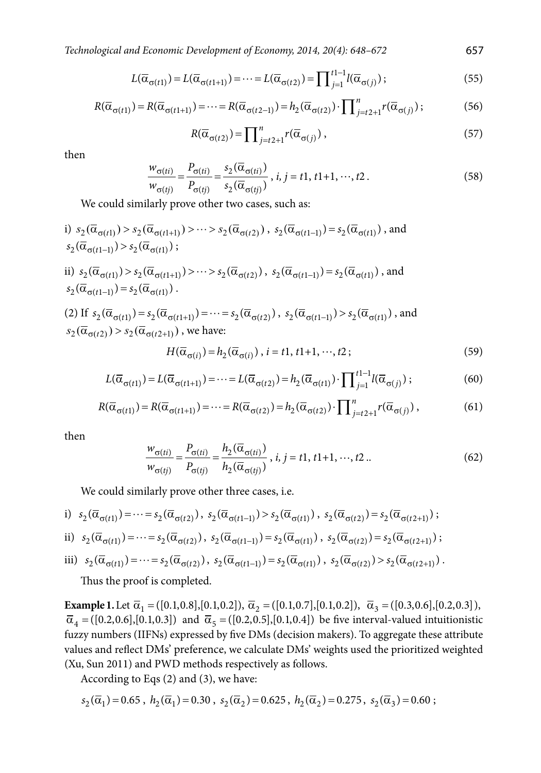*Technological and Economic Development of Economy, 2014, 20(4): 648–672* 657

$$
L(\overline{\alpha}_{\sigma(t1)}) = L(\overline{\alpha}_{\sigma(t1+1)}) = \dots = L(\overline{\alpha}_{\sigma(t2)}) = \prod_{j=1}^{t1-1} l(\overline{\alpha}_{\sigma(j)});
$$
\n(55)

$$
R(\overline{\alpha}_{\sigma(t1)}) = R(\overline{\alpha}_{\sigma(t1+1)}) = \dots = R(\overline{\alpha}_{\sigma(t2-1)}) = h_2(\overline{\alpha}_{\sigma(t2)}) \cdot \prod_{j=t2+1}^{n} r(\overline{\alpha}_{\sigma(j)});
$$
(56)

$$
R(\overline{\alpha}_{\sigma(t2)}) = \prod_{j=t2+1}^{n} r(\overline{\alpha}_{\sigma(j)}),
$$
\n(57)

then

$$
\frac{w_{\sigma(ii)}}{w_{\sigma(tj)}} = \frac{P_{\sigma(ii)}}{P_{\sigma(tj)}} = \frac{s_2(\overline{\alpha}_{\sigma(ii)})}{s_2(\overline{\alpha}_{\sigma(tj)})}, \quad i, j = t1, t1+1, \dots, t2. \tag{58}
$$

We could similarly prove other two cases, such as:

i) 
$$
s_2(\overline{\alpha}_{\sigma(t1)}) > s_2(\overline{\alpha}_{\sigma(t1+1)}) > \cdots > s_2(\overline{\alpha}_{\sigma(t2)})
$$
,  $s_2(\overline{\alpha}_{\sigma(t1-1)}) = s_2(\overline{\alpha}_{\sigma(t1)})$ , and  
\n $s_2(\overline{\alpha}_{\sigma(t1-1)}) > s_2(\overline{\alpha}_{\sigma(t1)})$ ;  
\nii)  $s_2(\overline{\alpha}_{\sigma(t1)}) > s_2(\overline{\alpha}_{\sigma(t1+1)}) > \cdots > s_2(\overline{\alpha}_{\sigma(t2)})$ ,  $s_2(\overline{\alpha}_{\sigma(t1-1)}) = s_2(\overline{\alpha}_{\sigma(t1)})$ , and  
\n $s_2(\overline{\alpha}_{\sigma(t1-1)}) = s_2(\overline{\alpha}_{\sigma(t1)})$ .  
\n(2) If  $s_2(\overline{\alpha}_{\sigma(t1)}) = s_2(\overline{\alpha}_{\sigma(t1+1)}) = \cdots = s_2(\overline{\alpha}_{\sigma(t2)})$ ,  $s_2(\overline{\alpha}_{\sigma(t1-1)}) > s_2(\overline{\alpha}_{\sigma(t1)})$ , and  
\n $s_2(\overline{\alpha}_{\sigma(t2)}) > s_2(\overline{\alpha}_{\sigma(t2+1)})$ , we have:  
\n $H(\overline{\alpha}_{\sigma(i)}) = h_2(\overline{\alpha}_{\sigma(i)})$ ,  $i = t1, t1+1, \cdots, t2$ ;  
\n(59)

$$
L(\overline{\alpha}_{\sigma(t1)}) = L(\overline{\alpha}_{\sigma(t1+1)}) = \dots = L(\overline{\alpha}_{\sigma(t2)}) = h_2(\overline{\alpha}_{\sigma(t1)}) \cdot \prod_{j=1}^{t1-1} l(\overline{\alpha}_{\sigma(j)}) ;
$$
 (60)

$$
R(\overline{\alpha}_{\sigma(t1)}) = R(\overline{\alpha}_{\sigma(t1+1)}) = \dots = R(\overline{\alpha}_{\sigma(t2)}) = h_2(\overline{\alpha}_{\sigma(t2)}) \cdot \prod_{j=t2+1}^{n} r(\overline{\alpha}_{\sigma(j)}) ,
$$
 (61)

then

$$
\frac{w_{\sigma(ii)}}{w_{\sigma(tj)}} = \frac{P_{\sigma(it)}}{P_{\sigma(tj)}} = \frac{h_2(\overline{\alpha}_{\sigma(it)})}{h_2(\overline{\alpha}_{\sigma(tj)})}, \ i, j = t1, t1+1, \dots, t2 \dots \tag{62}
$$

We could similarly prove other three cases, i.e.

i) 
$$
s_2(\overline{\alpha}_{\sigma(t1)}) = \cdots = s_2(\overline{\alpha}_{\sigma(t2)}), s_2(\overline{\alpha}_{\sigma(t1-)})>s_2(\overline{\alpha}_{\sigma(t1)}), s_2(\overline{\alpha}_{\sigma(t2)})=s_2(\overline{\alpha}_{\sigma(t2+1)});
$$

$$
\text{ii)} \quad s_2(\overline{\alpha}_{\sigma(t1)}) = \dots = s_2(\overline{\alpha}_{\sigma(t2)}), \ s_2(\overline{\alpha}_{\sigma(t1-)} ) = s_2(\overline{\alpha}_{\sigma(t1)}), \ s_2(\overline{\alpha}_{\sigma(t2)}) = s_2(\overline{\alpha}_{\sigma(t2+1)});
$$

iii) 
$$
s_2(\overline{\alpha}_{\sigma(t1)}) = \cdots = s_2(\overline{\alpha}_{\sigma(t2)})
$$
,  $s_2(\overline{\alpha}_{\sigma(t1-)} ) = s_2(\overline{\alpha}_{\sigma(t1)})$ ,  $s_2(\overline{\alpha}_{\sigma(t2)}) > s_2(\overline{\alpha}_{\sigma(t2+1)})$ .

Thus the proof is completed.

**Example 1.** Let  $\overline{\alpha}_1 = ( [0.1, 0.8], [0.1, 0.2])$ ,  $\overline{\alpha}_2 = ( [0.1, 0.7], [0.1, 0.2])$ ,  $\overline{\alpha}_3 = ( [0.3, 0.6], [0.2, 0.3])$ ,  $\bar{\alpha}_4 = ([0.2, 0.6], [0.1, 0.3])$  and  $\bar{\alpha}_5 = ([0.2, 0.5], [0.1, 0.4])$  be five interval-valued intuitionistic fuzzy numbers (IIFNs) expressed by five DMs (decision makers). To aggregate these attribute values and reflect DMs' preference, we calculate DMs' weights used the prioritized weighted (Xu, Sun 2011) and PWD methods respectively as follows.

According to Eqs (2) and (3), we have:

$$
s_2(\overline{\alpha}_1) = 0.65 \; , \; h_2(\overline{\alpha}_1) = 0.30 \; , \; s_2(\overline{\alpha}_2) = 0.625 \; , \; h_2(\overline{\alpha}_2) = 0.275 \; , \; s_2(\overline{\alpha}_3) = 0.60 \; ;
$$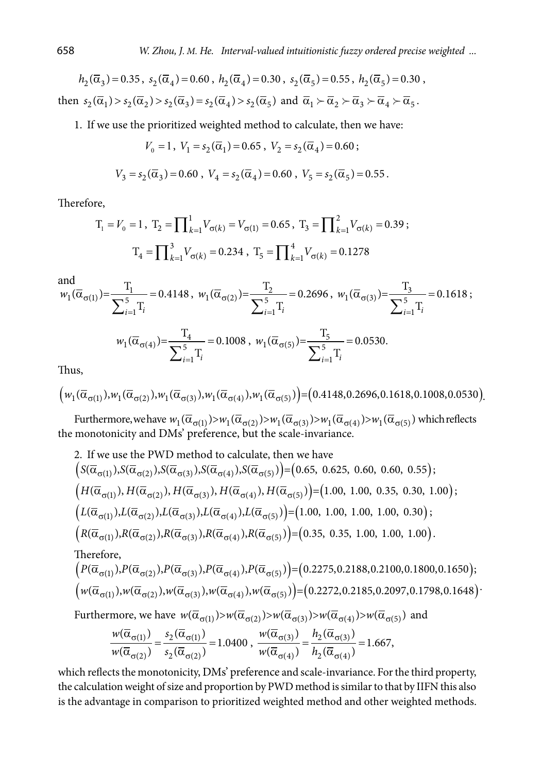$h_2(\overline{\alpha}_3) = 0.35$ ,  $s_2(\overline{\alpha}_4) = 0.60$ ,  $h_2(\overline{\alpha}_4) = 0.30$ ,  $s_2(\overline{\alpha}_5) = 0.55$ ,  $h_2(\overline{\alpha}_5) = 0.30$ , then  $s_2(\overline{\alpha}_1) > s_2(\overline{\alpha}_2) > s_2(\overline{\alpha}_3) = s_2(\overline{\alpha}_4) > s_2(\overline{\alpha}_5)$  and  $\overline{\alpha}_1 > \overline{\alpha}_2 > \overline{\alpha}_3 > \overline{\alpha}_4 > \overline{\alpha}_5$ .

1. If we use the prioritized weighted method to calculate, then we have:

$$
V_0 = 1, V_1 = s_2(\overline{\alpha}_1) = 0.65, V_2 = s_2(\overline{\alpha}_4) = 0.60;
$$
  

$$
V_3 = s_2(\overline{\alpha}_3) = 0.60, V_4 = s_2(\overline{\alpha}_4) = 0.60, V_5 = s_2(\overline{\alpha}_5) = 0.55.
$$

Therefore,

$$
T_1 = V_0 = 1, \ T_2 = \prod_{k=1}^1 V_{\sigma(k)} = V_{\sigma(1)} = 0.65, \ T_3 = \prod_{k=1}^2 V_{\sigma(k)} = 0.39;
$$
  

$$
T_4 = \prod_{k=1}^3 V_{\sigma(k)} = 0.234, \ T_5 = \prod_{k=1}^4 V_{\sigma(k)} = 0.1278
$$

and

and  
\n
$$
w_1(\overline{\alpha}_{\sigma(1)}) = \frac{T_1}{\sum_{i=1}^5 T_i} = 0.4148, w_1(\overline{\alpha}_{\sigma(2)}) = \frac{T_2}{\sum_{i=1}^5 T_i} = 0.2696, w_1(\overline{\alpha}_{\sigma(3)}) = \frac{T_3}{\sum_{i=1}^5 T_i} = 0.1618;
$$
\n
$$
w_1(\overline{\alpha}_{\sigma(4)}) = \frac{T_4}{\sum_{i=1}^5 T_i} = 0.1008, w_1(\overline{\alpha}_{\sigma(5)}) = \frac{T_5}{\sum_{i=1}^5 T_i} = 0.0530.
$$

Thus,

$$
\left(w_1(\overline{\alpha}_{\sigma(1)}), w_1(\overline{\alpha}_{\sigma(2)}), w_1(\overline{\alpha}_{\sigma(3)}), w_1(\overline{\alpha}_{\sigma(4)}), w_1(\overline{\alpha}_{\sigma(5)})\right) = (0.4148, 0.2696, 0.1618, 0.1008, 0.0530).
$$

Furthermore, we have  $w_1(\overline{\alpha}_{\sigma(1)}) > w_1(\overline{\alpha}_{\sigma(2)}) > w_1(\overline{\alpha}_{\sigma(3)}) > w_1(\overline{\alpha}_{\sigma(4)}) > w_1(\overline{\alpha}_{\sigma(5)})$  which reflects the monotonicity and DMs' preference, but the scale-invariance.

2. If we use the PWD method to calculate, then we have  
\n
$$
\left(S(\overline{\alpha}_{\sigma(1)}), S(\overline{\alpha}_{\sigma(2)}), S(\overline{\alpha}_{\sigma(3)}), S(\overline{\alpha}_{\sigma(4)}), S(\overline{\alpha}_{\sigma(5)})\right) = (0.65, 0.625, 0.60, 0.60, 0.55);
$$
\n
$$
\left(H(\overline{\alpha}_{\sigma(1)}), H(\overline{\alpha}_{\sigma(2)}), H(\overline{\alpha}_{\sigma(3)}), H(\overline{\alpha}_{\sigma(4)}), H(\overline{\alpha}_{\sigma(5)})\right) = (1.00, 1.00, 0.35, 0.30, 1.00);
$$
\n
$$
\left(L(\overline{\alpha}_{\sigma(1)}), L(\overline{\alpha}_{\sigma(2)}), L(\overline{\alpha}_{\sigma(3)}), L(\overline{\alpha}_{\sigma(4)}), L(\overline{\alpha}_{\sigma(5)})\right) = (1.00, 1.00, 1.00, 1.00, 0.30);
$$
\n
$$
\left(R(\overline{\alpha}_{\sigma(1)}), R(\overline{\alpha}_{\sigma(2)}), R(\overline{\alpha}_{\sigma(3)}), R(\overline{\alpha}_{\sigma(4)}), R(\overline{\alpha}_{\sigma(5)})\right) = (0.35, 0.35, 1.00, 1.00, 1.00).
$$
\nTherefore,

$$
\left(P(\overline{\alpha}_{\sigma(1)}), P(\overline{\alpha}_{\sigma(2)}), P(\overline{\alpha}_{\sigma(3)}), P(\overline{\alpha}_{\sigma(4)}), P(\overline{\alpha}_{\sigma(5)})\right) = (0.2275, 0.2188, 0.2100, 0.1800, 0.1650);
$$
  

$$
\left(w(\overline{\alpha}_{\sigma(1)}), w(\overline{\alpha}_{\sigma(2)}), w(\overline{\alpha}_{\sigma(3)}), w(\overline{\alpha}_{\sigma(4)}), w(\overline{\alpha}_{\sigma(5)})\right) = (0.2272, 0.2185, 0.2097, 0.1798, 0.1648).
$$

Furthermore, we have  $w(\overline{\alpha}_{\sigma(1)}) > w(\overline{\alpha}_{\sigma(2)}) > w(\overline{\alpha}_{\sigma(3)}) > w(\overline{\alpha}_{\sigma(4)}) > w(\overline{\alpha}_{\sigma(5)})$  and

$$
\frac{w(\overline{\alpha}_{\sigma(1)})}{w(\overline{\alpha}_{\sigma(2)})} = \frac{s_2(\overline{\alpha}_{\sigma(1)})}{s_2(\overline{\alpha}_{\sigma(2)})} = 1.0400 \ , \ \frac{w(\overline{\alpha}_{\sigma(3)})}{w(\overline{\alpha}_{\sigma(4)})} = \frac{h_2(\overline{\alpha}_{\sigma(3)})}{h_2(\overline{\alpha}_{\sigma(4)})} = 1.667,
$$

which reflects the monotonicity, DMs' preference and scale-invariance. For the third property, the calculation weight of size and proportion by PWD method is similar to that by IIFN this also is the advantage in comparison to prioritized weighted method and other weighted methods.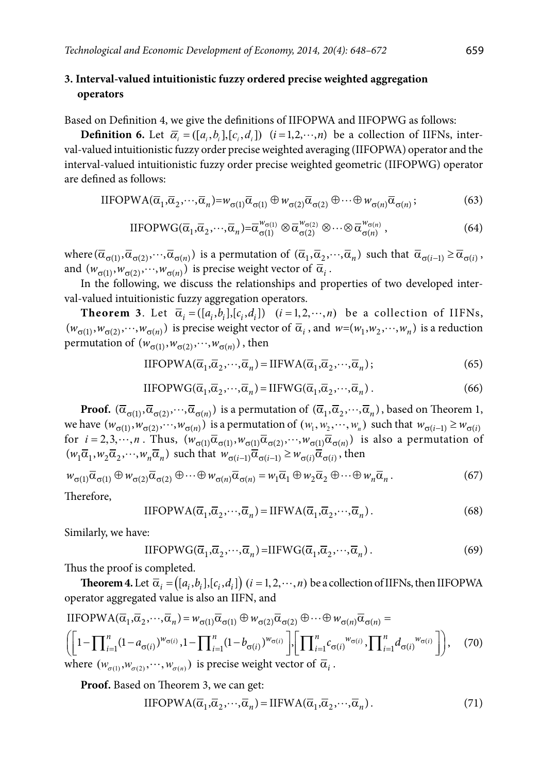## **3. Interval-valued intuitionistic fuzzy ordered precise weighted aggregation operators**

Based on Definition 4, we give the definitions of IIFOPWA and IIFOPWG as follows:

**Definition 6.** Let  $\overline{\alpha}_i = (\overline{[a_i, b_i]}, [c_i, d_i])$   $(i = 1, 2, \dots, n)$  be a collection of IIFNs, interval-valued intuitionistic fuzzy order precise weighted averaging (IIFOPWA) operator and the interval-valued intuitionistic fuzzy order precise weighted geometric (IIFOPWG) operator are defined as follows:

$$
IIFOPWA(\overline{\alpha}_1, \overline{\alpha}_2, \cdots, \overline{\alpha}_n) = w_{\sigma(1)}\overline{\alpha}_{\sigma(1)} \oplus w_{\sigma(2)}\overline{\alpha}_{\sigma(2)} \oplus \cdots \oplus w_{\sigma(n)}\overline{\alpha}_{\sigma(n)};
$$
(63)

$$
\text{IIFOPWG}(\overline{\alpha}_1, \overline{\alpha}_2, \cdots, \overline{\alpha}_n) = \overline{\alpha}_{\sigma(1)}^{w_{\sigma(1)}} \otimes \overline{\alpha}_{\sigma(2)}^{w_{\sigma(2)}} \otimes \cdots \otimes \overline{\alpha}_{\sigma(n)}^{w_{\sigma(n)}},
$$
\n(64)

where  $(\overline{\alpha}_{\sigma(1)}, \overline{\alpha}_{\sigma(2)}, \dots, \overline{\alpha}_{\sigma(n)})$  is a permutation of  $(\overline{\alpha}_1, \overline{\alpha}_2, \dots, \overline{\alpha}_n)$  such that  $\overline{\alpha}_{\sigma(i-1)} \ge \overline{\alpha}_{\sigma(i)}$ , and  $(w_{\sigma(1)}, w_{\sigma(2)}, \dots, w_{\sigma(n)})$  is precise weight vector of  $\overline{\alpha}_i$ .

In the following, we discuss the relationships and properties of two developed interval-valued intuitionistic fuzzy aggregation operators.

**Theorem 3**. Let  $\overline{\alpha}_i = (\left[a_i, b_i\right], \left[c_i, d_i\right])$   $(i = 1, 2, \dots, n)$  be a collection of IIFNs,  $(w_{\sigma(1)}, w_{\sigma(2)}, \dots, w_{\sigma(n)})$  is precise weight vector of  $\overline{\alpha}_i$ , and  $w=(w_1, w_2, \dots, w_n)$  is a reduction permutation of  $(w_{\sigma(1)}, w_{\sigma(2)}, \dots, w_{\sigma(n)})$ , then

$$
IIFOPWA(\overline{\alpha}_1, \overline{\alpha}_2, \cdots, \overline{\alpha}_n) = IIFWA(\overline{\alpha}_1, \overline{\alpha}_2, \cdots, \overline{\alpha}_n);
$$
\n(65)

$$
IIFOPWG(\overline{\alpha}_1, \overline{\alpha}_2, \cdots, \overline{\alpha}_n) = IIFWG(\overline{\alpha}_1, \overline{\alpha}_2, \cdots, \overline{\alpha}_n).
$$
 (66)

**Proof.**  $(\overline{\alpha}_{\sigma(1)}, \overline{\alpha}_{\sigma(2)}, \dots, \overline{\alpha}_{\sigma(n)})$  is a permutation of  $(\overline{\alpha}_1, \overline{\alpha}_2, \dots, \overline{\alpha}_n)$ , based on Theorem 1, we have  $(w_{\sigma(1)}, w_{\sigma(2)}, \dots, w_{\sigma(n)})$  is a permutation of  $(w_1, w_2, \dots, w_n)$  such that  $w_{\sigma(i-1)} \geq w_{\sigma(i)}$ for  $i = 2, 3, \dots, n$ . Thus,  $(w_{\sigma(1)} \overline{\alpha}_{\sigma(1)}, w_{\sigma(1)} \overline{\alpha}_{\sigma(2)}, \dots, w_{\sigma(1)} \overline{\alpha}_{\sigma(n)})$  is also a permutation of  $(w_1\overline{\alpha}_1, w_2\overline{\alpha}_2, \dots, w_n\overline{\alpha}_n)$  such that  $w_{\sigma(i-1)}\overline{\alpha}_{\sigma(i-1)} \geq w_{\sigma(i)}\overline{\alpha}_{\sigma(i)}$ , then

$$
w_{\sigma(1)}\overline{\alpha}_{\sigma(1)} \oplus w_{\sigma(2)}\overline{\alpha}_{\sigma(2)} \oplus \cdots \oplus w_{\sigma(n)}\overline{\alpha}_{\sigma(n)} = w_1\overline{\alpha}_1 \oplus w_2\overline{\alpha}_2 \oplus \cdots \oplus w_n\overline{\alpha}_n.
$$
 (67)

Therefore,

$$
IIFOPWA(\overline{\alpha}_1, \overline{\alpha}_2, \cdots, \overline{\alpha}_n) = IIFWA(\overline{\alpha}_1, \overline{\alpha}_2, \cdots, \overline{\alpha}_n).
$$
 (68)

Similarly, we have:

$$
IIFOPWG(\overline{\alpha}_1, \overline{\alpha}_2, \cdots, \overline{\alpha}_n) = IIFWG(\overline{\alpha}_1, \overline{\alpha}_2, \cdots, \overline{\alpha}_n).
$$
\n(69)

Thus the proof is completed.

**Theorem 4.** Let  $\overline{\alpha}_i = ([a_i, b_i], [c_i, d_i])$   $(i = 1, 2, \dots, n)$  be a collection of IIFNs, then IIFOPWA operator aggregated value is also an IIFN, and

$$
\text{IIFOPWA}(\overline{\alpha}_{1}, \overline{\alpha}_{2}, \cdots, \overline{\alpha}_{n}) = w_{\sigma(1)} \overline{\alpha}_{\sigma(1)} \oplus w_{\sigma(2)} \overline{\alpha}_{\sigma(2)} \oplus \cdots \oplus w_{\sigma(n)} \overline{\alpha}_{\sigma(n)} =
$$
\n
$$
\left( \left[ 1 - \prod_{i=1}^{n} (1 - a_{\sigma(i)})^{w_{\sigma(i)}}, 1 - \prod_{i=1}^{n} (1 - b_{\sigma(i)})^{w_{\sigma(i)}} \right], \left[ \prod_{i=1}^{n} c_{\sigma(i)}^{w_{\sigma(i)}}, \prod_{i=1}^{n} d_{\sigma(i)}^{w_{\sigma(i)}} \right], \quad (70)
$$
\nwhere  $(w_{\sigma(1)}, w_{\sigma(2)}, \cdots, w_{\sigma(n)})$  is precise weight vector of  $\overline{\alpha}_{i}$ .

**Proof.** Based on Theorem 3, we can get:

$$
IIFOPWA(\overline{\alpha}_1, \overline{\alpha}_2, \cdots, \overline{\alpha}_n) = IIFWA(\overline{\alpha}_1, \overline{\alpha}_2, \cdots, \overline{\alpha}_n).
$$
\n(71)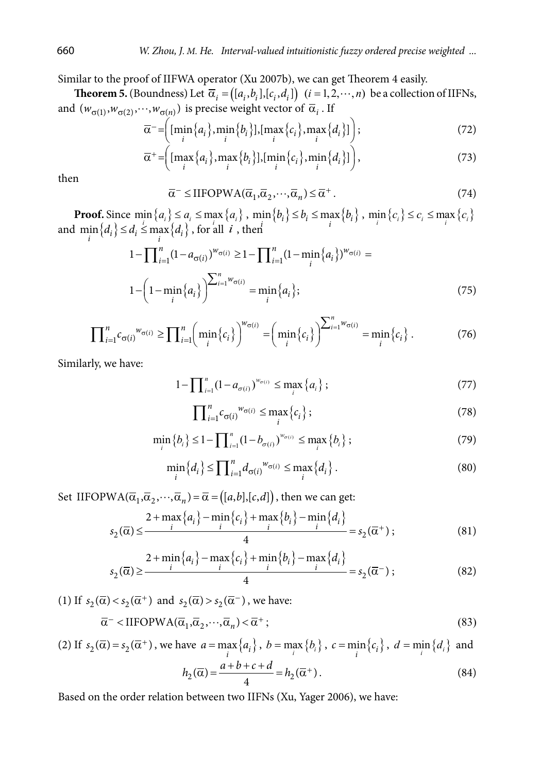Similar to the proof of IIFWA operator (Xu 2007b), we can get Theorem 4 easily.

**Theorem 5.** (Boundness) Let  $\overline{\alpha}_i = ([a_i, b_i], [c_i, d_i])$   $(i = 1, 2, \dots, n)$  be a collection of IIFNs, and  $(w_{\sigma(1)}, w_{\sigma(2)}, \dots, w_{\sigma(n)})$  is precise weight vector of  $\overline{\alpha}_i$ . If

$$
\overline{\alpha}^{-} = \left( \left[ \min_{i} \{a_i\}, \min_{i} \{b_i\} \right], \left[ \max_{i} \{c_i\}, \max_{i} \{d_i\} \right] \right); \tag{72}
$$

$$
\overline{\alpha}^{+} = \left( \left[ \max_{i} \{ a_{i} \}, \max_{i} \{ b_{i} \} \right], \left[ \min_{i} \{ c_{i} \}, \min_{i} \{ d_{i} \} \right] \right), \tag{73}
$$

then

$$
\overline{\alpha}^{-} \le \text{IIFOPWA}(\overline{\alpha}_{1}, \overline{\alpha}_{2}, \cdots, \overline{\alpha}_{n}) \le \overline{\alpha}^{+}.
$$
\n(74)

**Proof.** Since  $\min\{a_i\} \le a_i \le \max\{a_i\}$ ,  $\min\{b_i\} \le b_i \le \max\{b_i\}$ ,  $\min_i\{c_i\} \le c_i \le \max_i\{c_i\}$ and  $\min_i \{d_i\} \leq d_i \leq \max_i \{d_i\}$ , for all *i*, then

$$
1 - \prod_{i=1}^{n} (1 - a_{\sigma(i)})^{w_{\sigma(i)}} \ge 1 - \prod_{i=1}^{n} (1 - \min_{i} \{a_i\})^{w_{\sigma(i)}} =
$$
  

$$
1 - \left(1 - \min_{i} \{a_i\}\right)^{\sum_{i=1}^{n} w_{\sigma(i)}} = \min_{i} \{a_i\};
$$
 (75)

$$
\prod_{i=1}^n c_{\sigma(i)}^{w_{\sigma(i)}} \ge \prod_{i=1}^n \left( \min_i \{c_i\} \right)^{w_{\sigma(i)}} = \left( \min_i \{c_i\} \right)^{\sum_{i=1}^n w_{\sigma(i)}} = \min_i \{c_i\} \ . \tag{76}
$$

Similarly, we have:

$$
1 - \prod_{i=1}^{n} (1 - a_{\sigma(i)})^{w_{\sigma(i)}} \le \max_{i} \{a_i\};
$$
\n(77)

$$
\prod_{i=1}^{n} c_{\sigma(i)}^{w_{\sigma(i)}} \le \max_{i} \{c_i\};\tag{78}
$$

$$
\min_{i} \{b_{i}\} \leq 1 - \prod_{i=1}^{n} (1 - b_{\sigma(i)})^{w_{\sigma(i)}} \leq \max_{i} \{b_{i}\};
$$
\n(79)

$$
\min_{i} \{d_i\} \le \prod_{i=1}^{n} d_{\sigma(i)}^{w_{\sigma(i)}} \le \max_{i} \{d_i\}.
$$
\n(80)

Set IIFOPWA( $\overline{\alpha}_1, \overline{\alpha}_2, \dots, \overline{\alpha}_n$ ) =  $\overline{\alpha}$  = ([a,b],[c,d]), then we can get:

$$
s_2(\overline{\alpha}) \le \frac{2 + \max\{a_i\} - \min\{c_i\} + \max\{b_i\} - \min\{d_i\}}{4} = s_2(\overline{\alpha}^+);
$$
\n(81)

$$
s_2(\overline{\alpha}) \ge \frac{2 + \min\{a_i\} - \max\{c_i\} + \min\{b_i\} - \max\{d_i\}}{4} = s_2(\overline{\alpha}^-);
$$
 (82)

(1) If  $s_2(\overline{\alpha}) < s_2(\overline{\alpha}^+)$  and  $s_2(\overline{\alpha}) > s_2(\overline{\alpha}^-)$ , we have:

$$
\overline{\alpha}^{-} < \text{IIFOPWA}(\overline{\alpha}_{1}, \overline{\alpha}_{2}, \cdots, \overline{\alpha}_{n}) < \overline{\alpha}^{+};
$$
\n(83)

(2) If  $s_2(\overline{\alpha}) = s_2(\overline{\alpha}^+)$ , we have  $a = \max_i \{a_i\}$ ,  $b = \max_i \{b_i\}$ ,  $c = \min_i \{c_i\}$ ,  $d = \min_i \{d_i\}$  and

$$
h_2(\overline{\alpha}) = \frac{a+b+c+d}{4} = h_2(\overline{\alpha}^+).
$$
 (84)

Based on the order relation between two IIFNs (Xu, Yager 2006), we have: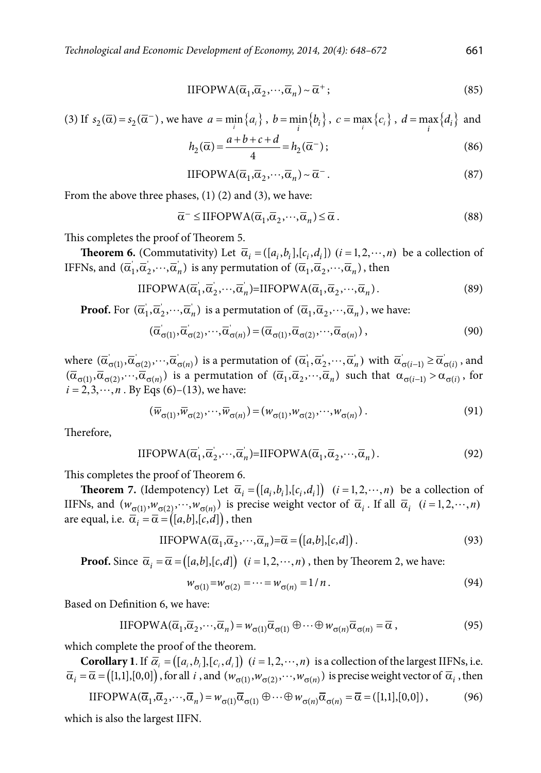$$
IIFOPWA(\overline{\alpha}_1, \overline{\alpha}_2, \cdots, \overline{\alpha}_n) \sim \overline{\alpha}^+;
$$
\n(85)

(3) If 
$$
s_2(\overline{\alpha}) = s_2(\overline{\alpha}^-)
$$
, we have  $a = \min_i \{a_i\}$ ,  $b = \min_i \{b_i\}$ ,  $c = \max_i \{c_i\}$ ,  $d = \max_i \{d_i\}$  and

$$
h_2(\overline{\alpha}) = \frac{a+b+c+d}{4} = h_2(\overline{\alpha}^-);
$$
\n(86)

$$
IIFOPWA(\overline{\alpha}_1, \overline{\alpha}_2, \cdots, \overline{\alpha}_n) \sim \overline{\alpha}^-.
$$
 (87)

From the above three phases, (1) (2) and (3), we have:

$$
\overline{\alpha}^{-} \leq \text{IIFOPWA}(\overline{\alpha}_{1}, \overline{\alpha}_{2}, \cdots, \overline{\alpha}_{n}) \leq \overline{\alpha} \,. \tag{88}
$$

This completes the proof of Theorem 5.

**Theorem 6.** (Commutativity) Let  $\overline{\alpha}_i = (\overline{[a_i, b_i]}, [\overline{c_i, d_i}])$   $(i = 1, 2, \dots, n)$  be a collection of IFFNs, and  $(\overline{\alpha}'_1, \overline{\alpha}'_2, \cdots, \overline{\alpha}'_n)$  is any permutation of  $(\overline{\alpha}_1, \overline{\alpha}_2, \cdots, \overline{\alpha}_n)$ , then

$$
IIFOPWA(\overline{\alpha}'_1, \overline{\alpha}'_2, \cdots, \overline{\alpha}'_n) = IIFOPWA(\overline{\alpha}_1, \overline{\alpha}_2, \cdots, \overline{\alpha}_n).
$$
\n(89)

**Proof.** For  $(\overline{\alpha}_1, \overline{\alpha}_2, \cdots, \overline{\alpha}_n)$  is a permutation of  $(\overline{\alpha}_1, \overline{\alpha}_2, \cdots, \overline{\alpha}_n)$ , we have:

$$
(\overline{\alpha}_{\sigma(1)}', \overline{\alpha}_{\sigma(2)}', \cdots, \overline{\alpha}_{\sigma(n)}') = (\overline{\alpha}_{\sigma(1)}, \overline{\alpha}_{\sigma(2)}, \cdots, \overline{\alpha}_{\sigma(n)}),
$$
\n(90)

where  $(\overline{\alpha}'_{\sigma(1)}, \overline{\alpha}'_{\sigma(2)}, \cdots, \overline{\alpha}'_{\sigma(n)})$  is a permutation of  $(\overline{\alpha}'_1, \overline{\alpha}'_2, \cdots, \overline{\alpha}'_n)$  with  $\overline{\alpha}'_{\sigma(i-1)} \ge \overline{\alpha}'_{\sigma(i)}$ , and  $(\overline{\alpha}_{\sigma(1)}, \overline{\alpha}_{\sigma(2)}, \cdots, \overline{\alpha}_{\sigma(n)})$  is a permutation of  $(\overline{\alpha}_1, \overline{\alpha}_2, \cdots, \overline{\alpha}_n)$  such that  $\alpha_{\sigma(i-1)} > \alpha_{\sigma(i)}$ , for  $i = 2, 3, \dots, n$ . By Eqs (6)–(13), we have:

$$
(\overline{w}_{\sigma(1)}, \overline{w}_{\sigma(2)}, \cdots, \overline{w}_{\sigma(n)}) = (w_{\sigma(1)}, w_{\sigma(2)}, \cdots, w_{\sigma(n)})
$$
\n(91)

Therefore,

$$
IIFOPWA(\overline{\alpha}_1, \overline{\alpha}_2, \cdots, \overline{\alpha}_n) = IIFOPWA(\overline{\alpha}_1, \overline{\alpha}_2, \cdots, \overline{\alpha}_n).
$$
\n(92)

This completes the proof of Theorem 6.

**Theorem 7.** (Idempotency) Let  $\overline{\alpha}_i = ([a_i, b_i], [c_i, d_i])$   $(i = 1, 2, \dots, n)$  be a collection of IIFNs, and  $(w_{\sigma(1)}, w_{\sigma(2)}, \dots, w_{\sigma(n)})$  is precise weight vector of  $\overline{\alpha}_i$ . If all  $\overline{\alpha}_i$  (*i* = 1, 2,  $\dots$ , *n*) are equal, i.e.  $\overline{\alpha}_i = \overline{\alpha} = ([a,b],[c,d])$ , then

$$
IIFOPWA(\overline{\alpha}_1, \overline{\alpha}_2, \cdots, \overline{\alpha}_n) = \overline{\alpha} = ([a, b], [c, d]).
$$
\n(93)

**Proof.** Since  $\overline{\alpha}_i = \overline{\alpha} = ([a,b],[c,d])$   $(i = 1, 2, \dots, n)$ , then by Theorem 2, we have:

$$
w_{\sigma(1)} = w_{\sigma(2)} = \dots = w_{\sigma(n)} = 1/n. \tag{94}
$$

Based on Definition 6, we have:

$$
IIFOPWA(\overline{\alpha}_1, \overline{\alpha}_2, \cdots, \overline{\alpha}_n) = w_{\sigma(1)}\overline{\alpha}_{\sigma(1)} \oplus \cdots \oplus w_{\sigma(n)}\overline{\alpha}_{\sigma(n)} = \overline{\alpha},
$$
\n(95)

which complete the proof of the theorem.

**Corollary 1**. If  $\overline{\alpha}_i = (\overline{[a_i, b_i]}, [c_i, d_i])$   $(i = 1, 2, \dots, n)$  is a collection of the largest IIFNs, i.e.  $\overline{\alpha}_i = \overline{\alpha} = ([1,1],[0,0])$ , for all *i*, and  $(w_{\sigma(1)}, w_{\sigma(2)}, \dots, w_{\sigma(n)})$  is precise weight vector of  $\overline{\alpha}_i$ , then

 $IIFOPWA(\overline{\alpha}_1, \overline{\alpha}_2, \cdots, \overline{\alpha}_n) = w_{\sigma(1)}\overline{\alpha}_{\sigma(1)} \oplus \cdots \oplus w_{\sigma(n)}\overline{\alpha}_{\sigma(n)} = \overline{\alpha} = ([1,1],[0,0]),$  (96)

which is also the largest IIFN.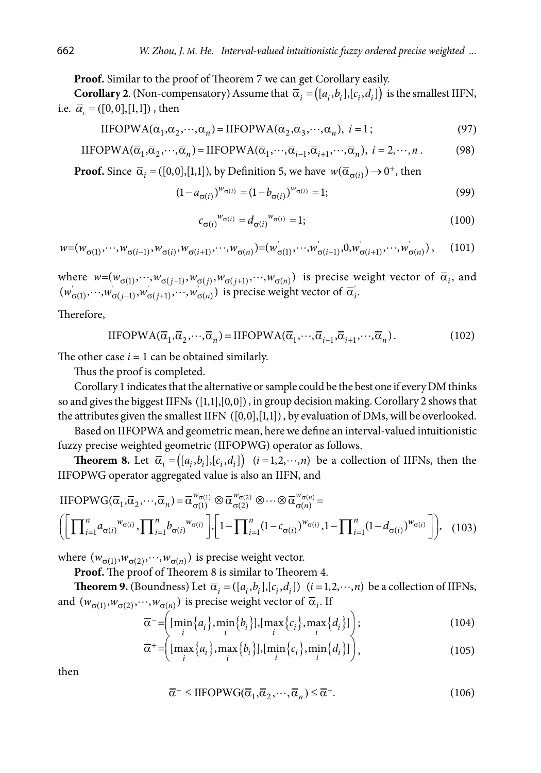**Proof.** Similar to the proof of Theorem 7 we can get Corollary easily.

**Corollary 2**. (Non-compensatory) Assume that  $\overline{\alpha}_i = ([a_i, b_i], [c_i, d_i])$  is the smallest IIFN, i.e.  $\bar{\alpha}_i = ([0,0],[1,1])$ , then

$$
IIFOPWA(\overline{\alpha}_1, \overline{\alpha}_2, \cdots, \overline{\alpha}_n) = IIFOPWA(\overline{\alpha}_2, \overline{\alpha}_3, \cdots, \overline{\alpha}_n), \ i = 1;
$$
\n(97)

$$
IIFOPWA(\overline{\alpha}_1, \overline{\alpha}_2, \cdots, \overline{\alpha}_n) = IIFOPWA(\overline{\alpha}_1, \cdots, \overline{\alpha}_{i-1}, \overline{\alpha}_{i+1}, \cdots, \overline{\alpha}_n), \ i = 2, \cdots, n. \tag{98}
$$

**Proof.** Since  $\overline{\alpha}_i = ([0,0],[1,1])$ , by Definition 5, we have  $w(\overline{\alpha}_{\sigma(i)}) \rightarrow 0^+$ , then

$$
(1 - a_{\sigma(i)})^{w_{\sigma(i)}} = (1 - b_{\sigma(i)})^{w_{\sigma(i)}} = 1;
$$
\n(99)

$$
c_{\sigma(i)}^{w_{\sigma(i)}} = d_{\sigma(i)}^{w_{\sigma(i)}} = 1; \tag{100}
$$

$$
w=(w_{\sigma(1)}, \cdots, w_{\sigma(i-1)}, w_{\sigma(i)}, w_{\sigma(i+1)}, \cdots, w_{\sigma(n)})=(w_{\sigma(1)}, \cdots, w_{\sigma(i-1)}, 0, w_{\sigma(i+1)}, \cdots, w_{\sigma(n)}),
$$
 (101)

where  $w=(w_{\sigma(1)},...,w_{\sigma(j-1)},w_{\sigma(j)},w_{\sigma(j+1)},...,w_{\sigma(n)})$  is precise weight vector of  $\bar{\alpha}_i$ , and  $(w_{\sigma(1)}, ..., w_{\sigma(j-1)}, w_{\sigma(j+1)}, ..., w_{\sigma(n)})$  is precise weight vector of  $\overline{\alpha}_i$ .

Therefore,

$$
IIFOPWA(\overline{\alpha}_1, \overline{\alpha}_2, \cdots, \overline{\alpha}_n) = IIFOPWA(\overline{\alpha}_1, \cdots, \overline{\alpha}_{i-1}, \overline{\alpha}_{i+1}, \cdots, \overline{\alpha}_n).
$$
(102)

The other case  $i = 1$  can be obtained similarly.

Thus the proof is completed.

Corollary 1 indicates that the alternative or sample could be the best one if every DM thinks so and gives the biggest IIFNs  $([1,1],[0,0])$ , in group decision making. Corollary 2 shows that the attributes given the smallest IIFN  $([0,0],[1,1])$ , by evaluation of DMs, will be overlooked.

Based on IIFOPWA and geometric mean, here we define an interval-valued intuitionistic fuzzy precise weighted geometric (IIFOPWG) operator as follows.

**Theorem 8.** Let  $\overline{\alpha}_i = ([a_i, b_i], [c_i, d_i])$   $(i = 1, 2, \dots, n)$  be a collection of IIFNs, then the IIFOPWG operator aggregated value is also an IIFN, and

$$
\text{IIFOPWG}(\overline{\alpha}_{1}, \overline{\alpha}_{2}, \cdots, \overline{\alpha}_{n}) = \overline{\alpha}^{w_{\sigma(1)}}_{\sigma(1)} \otimes \overline{\alpha}^{w_{\sigma(2)}}_{\sigma(2)} \otimes \cdots \otimes \overline{\alpha}^{w_{\sigma(n)}}_{\sigma(n)} =
$$
\n
$$
\left( \left[ \prod_{i=1}^{n} a_{\sigma(i)}^{w_{\sigma(i)}}, \prod_{i=1}^{n} b_{\sigma(i)}^{w_{\sigma(i)}} \right], \left[ 1 - \prod_{i=1}^{n} (1 - c_{\sigma(i)})^{w_{\sigma(i)}}, 1 - \prod_{i=1}^{n} (1 - d_{\sigma(i)})^{w_{\sigma(i)}} \right] \right), \quad (103)
$$

where  $(w_{\sigma(1)}, w_{\sigma(2)}, \dots, w_{\sigma(n)})$  is precise weight vector.

**Proof.** The proof of Theorem 8 is similar to Theorem 4.

**Theorem 9.** (Boundness) Let  $\overline{\alpha}_i = (\overline{[a_i, b_i]}, \overline{[c_i, d_i]})$   $(i = 1, 2, \dots, n)$  be a collection of IIFNs, and  $(w_{\sigma(1)}, w_{\sigma(2)}, \dots, w_{\sigma(n)})$  is precise weight vector of  $\overline{\alpha}_i$ . If

$$
\overline{\alpha} = \left( \left[ \min_i \{ a_i \}, \min_i \{ b_i \} \right], \left[ \max_i \{ c_i \}, \max_i \{ d_i \} \right] \right);
$$
\n(104)

$$
\overline{\alpha}^+ = \left( \left[ \max_i \{ a_i \}, \max_i \{ b_i \} \right], \left[ \min_i \{ c_i \}, \min_i \{ d_i \} \right] \right),\tag{105}
$$

then

$$
\overline{\alpha}^{-} \leq \text{IIFOPWG}(\overline{\alpha}_{1}, \overline{\alpha}_{2}, \cdots, \overline{\alpha}_{n}) \leq \overline{\alpha}^{+}.
$$
\n(106)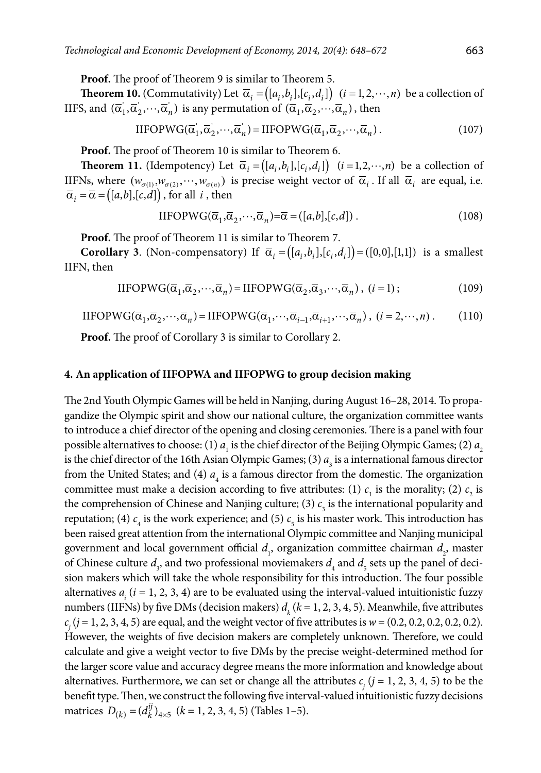**Proof.** The proof of Theorem 9 is similar to Theorem 5.

**Theorem 10.** (Commutativity) Let  $\overline{\alpha}_i = ([a_i, b_i], [c_i, d_i])$   $(i = 1, 2, \dots, n)$  be a collection of IIFS, and  $(\overline{\alpha}_1, \overline{\alpha}_2, \cdots, \overline{\alpha}_n)$  is any permutation of  $(\overline{\alpha}_1, \overline{\alpha}_2, \cdots, \overline{\alpha}_n)$ , then

$$
IIFOPWG(\overline{\alpha}'_1, \overline{\alpha}'_2, \cdots, \overline{\alpha}'_n) = IIFOPWG(\overline{\alpha}_1, \overline{\alpha}_2, \cdots, \overline{\alpha}_n).
$$
\n(107)

**Proof.** The proof of Theorem 10 is similar to Theorem 6.

**Theorem 11.** (Idempotency) Let  $\overline{\alpha}_i = ([a_i, b_i], [c_i, d_i])$   $(i = 1, 2, \dots, n)$  be a collection of IIFNs, where  $(w_{\sigma(1)}, w_{\sigma(2)}, \cdots, w_{\sigma(n)})$  is precise weight vector of  $\overline{\alpha}_i$ . If all  $\overline{\alpha}_i$  are equal, i.e.  $\overline{\alpha}_i = \overline{\alpha} = ([a,b],[c,d])$ , for all *i*, then

$$
IIFOPWG(\overline{\alpha}_1, \overline{\alpha}_2, \cdots, \overline{\alpha}_n) = \overline{\alpha} = ([a, b], [c, d]) . \tag{108}
$$

**Proof.** The proof of Theorem 11 is similar to Theorem 7.

**Corollary 3.** (Non-compensatory) If  $\overline{\alpha}_i = ([a_i, b_i], [c_i, d_i]) = ([0, 0], [1, 1])$  is a smallest IIFN, then

$$
IIFOPWG(\overline{\alpha}_1, \overline{\alpha}_2, \cdots, \overline{\alpha}_n) = IIFOPWG(\overline{\alpha}_2, \overline{\alpha}_3, \cdots, \overline{\alpha}_n), (i = 1); \qquad (109)
$$

$$
IIFOPWG(\overline{\alpha}_1, \overline{\alpha}_2, \cdots, \overline{\alpha}_n) = IIFOPWG(\overline{\alpha}_1, \cdots, \overline{\alpha}_{i-1}, \overline{\alpha}_{i+1}, \cdots, \overline{\alpha}_n), (i = 2, \cdots, n).
$$
 (110)

**Proof.** The proof of Corollary 3 is similar to Corollary 2.

#### **4. An application of IIFOPWA and IIFOPWG to group decision making**

The 2nd Youth Olympic Games will be held in Nanjing, during August 16–28, 2014. To propagandize the Olympic spirit and show our national culture, the organization committee wants to introduce a chief director of the opening and closing ceremonies. There is a panel with four possible alternatives to choose: (1)  $a<sub>1</sub>$  is the chief director of the Beijing Olympic Games; (2)  $a<sub>2</sub>$ is the chief director of the 16th Asian Olympic Games; (3)  $a<sub>3</sub>$  is a international famous director from the United States; and (4)  $a<sub>4</sub>$  is a famous director from the domestic. The organization committee must make a decision according to five attributes: (1)  $c<sub>1</sub>$  is the morality; (2)  $c<sub>2</sub>$  is the comprehension of Chinese and Nanjing culture; (3)  $c<sub>3</sub>$  is the international popularity and reputation; (4)  $c_4$  is the work experience; and (5)  $c_5$  is his master work. This introduction has been raised great attention from the international Olympic committee and Nanjing municipal government and local government official  $d_1$ , organization committee chairman  $d_2$ , master of Chinese culture  $d_3$ , and two professional moviemakers  $d_4$  and  $d_5$  sets up the panel of decision makers which will take the whole responsibility for this introduction. The four possible alternatives  $a_i$  ( $i = 1, 2, 3, 4$ ) are to be evaluated using the interval-valued intuitionistic fuzzy numbers (IIFNs) by five DMs (decision makers)  $d_k$  ( $k = 1, 2, 3, 4, 5$ ). Meanwhile, five attributes  $c_j$  (*j* = 1, 2, 3, 4, 5) are equal, and the weight vector of five attributes is  $w$  = (0.2, 0.2, 0.2, 0.2, 0.2). However, the weights of five decision makers are completely unknown. Therefore, we could calculate and give a weight vector to five DMs by the precise weight-determined method for the larger score value and accuracy degree means the more information and knowledge about alternatives. Furthermore, we can set or change all the attributes  $c_j$  ( $j = 1, 2, 3, 4, 5$ ) to be the benefit type. Then, we construct the following five interval-valued intuitionistic fuzzy decisions matrices  $D_{(k)} = (d_k^{ij})_{4\times5}$  ( $k = 1, 2, 3, 4, 5$ ) (Tables 1–5).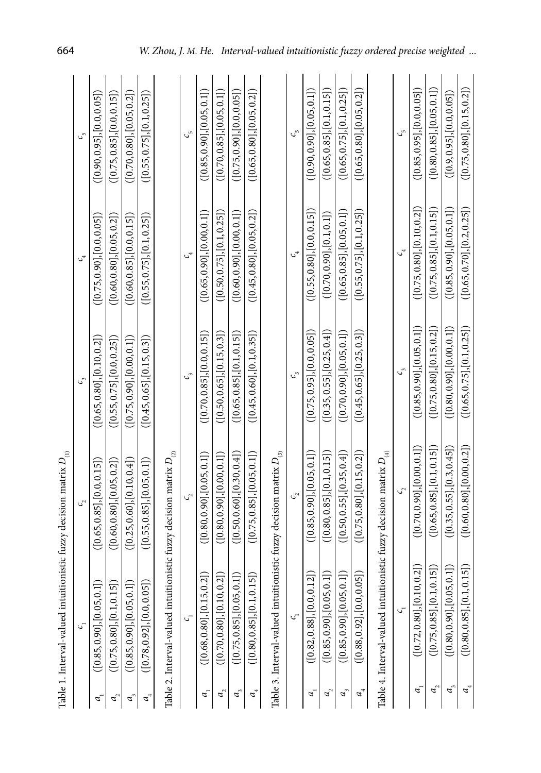| Table 1. Interval-valued intuitionistic fuzzy decision matrix $D_{\scriptscriptstyle (l)}$<br>C, | $\mathcal{C}_{2}$                                                                          | C,                              | $c_{\rm v}$                     | C,                                |
|--------------------------------------------------------------------------------------------------|--------------------------------------------------------------------------------------------|---------------------------------|---------------------------------|-----------------------------------|
| (0.85, 0.90], [0.05, 0.1]                                                                        | ([0.65, 0.85], [0.0, 0.15])                                                                | ([0.65, 0.80], [0.10, 0.2])     | ([0.75, 0.90], [0.0, 0.05])     | ( [ 0.90, 0.95 ], [ 0.0, 0.05 ] ) |
| ([0.75, 0.80], [0.1, 0.15]                                                                       | ([0.60, 0.80], [0.05, 0.2])                                                                | ( [0.55, 0.75], [0.0, 0.25])    | ([0.60, 0.80], [0.05, 0.2])     | ( [0.75, 0.85], [0.0, 0.15])      |
| ([0.85, 0.90], [0.05, 0.1]                                                                       | ([0.25, 0.60], [0.10, 0.4])                                                                | $($ [0.75, 0.90], $[0.00, 0.1]$ | ([0.60, 0.85], [0.0, 0.15])     | $($ [0.70,0.80], $[$ 0.05,0.2]]   |
| ( [0.78, 0.92], [0.0, 0.05]                                                                      | ([0.55, 0.85], [0.05, 0.1])                                                                | ([0.45, 0.65], [0.15, 0.3])     | ([0.55, 0.75], [0.1, 0.25])     | ([0.55, 0.75], [0.1, 0.25])       |
|                                                                                                  | Table 2. Interval-valued intuitionistic fuzzy decision matrix $D_{\scriptscriptstyle (2)}$ |                                 |                                 |                                   |
| C,                                                                                               | Ç,                                                                                         | C,                              | $\mathcal{C}^4$                 | Cr                                |
| $\widehat{z}$<br>([0.68, 0.80], [0.15, 0.                                                        | ([0.80, 0.90], [0.05, 0.1])                                                                | ([0.70, 0.85], [0.0, 0.15])     | ([0.65, 0.90], [0.00, 0.1])     | $($ [0.85, 0.90], $[$ 0.05, 0.1]) |
| $\widehat{z}$<br>( [0.70, 0.80], [0.10, 0,                                                       | $($ [0.80,0.90], $[0.00, 0.1]$                                                             | ([0.50, 0.65], [0.15, 0.3])     | ([0.50, 0.75], [0.1, 0.25])     | ([0.70, 0.85], [0.05, 0.1])       |
| ≘<br>([0.75, 0.85], [0.05, 0.                                                                    | ( [0.50, 0.60], [0.30, 0.4])                                                               | ([0.65, 0.85], [0.1, 0.15])     | ([0.60, 0.90], [0.00, 0.1])     | $($ [0.75, 0.90], $[0.0, 0.05]$   |
| $\widehat{5}$<br>( [0.80, 0.85], [0.1, 0.1                                                       | ([0.75, 0.85], [0.05, 0.1])                                                                | ([0.45, 0.60], [0.1, 0.35])     | ([0.45, 0.80], [0.05, 0.2])     | ([0.65, 0.80], [0.05, 0.2])       |
| Table 3. Interval-valued intuitio                                                                | onistic fuzzy decision matrix $D_{_{\left( 3\right) }}$                                    |                                 |                                 |                                   |
| $\mathcal{C}$                                                                                    | Ç,                                                                                         |                                 | C,                              | Cr                                |
| $\widehat{2}$<br>([0.82, 0.88], [0.0, 0.1                                                        | ([0.85, 0.90], [0.05, 0.1])                                                                | ([0.75, 0.95], [0.0, 0.05])     | ([0.55, 0.80], [0.0, 0.15])     | ([0.90, 0.90], [0.05, 0.1])       |
| ([0.85, 0.90], [0.05, 0.1])                                                                      | $($ [0.80,0.85], [0.1,0.15]]                                                               | ([0.35, 0.55], [0.25, 0.4])     | ([0.70, 0.90],[0.1, 0.1])       | ([0.65, 0.85], [0.1, 0.15])       |
| ([0.85, 0.90], [0.05, 0.1])                                                                      | ([0.50, 0.55], [0.35, 0.4])                                                                | $($ [0.70,0.90], $ 0.05, 0.1]$  | $($ [0.65, 0.85], $[0.05, 0.1]$ | ([0.65, 0.75], [0.1, 0.25])       |
| ([0.88, 0.92], [0.0, 0.05])                                                                      | ([0.75, 0.80], [0.15, 0.2])                                                                | ([0.45, 0.65], [0.25, 0.3])     | ([0.55, 0.75], [0.1, 0.25])     | ([0.65, 0.80], [0.05, 0.2])       |
| Table 4. Interval-valued intuitionistic fuzzy decision matrix $D_{\scriptscriptstyle (4)}$       |                                                                                            |                                 |                                 |                                   |
| G,                                                                                               |                                                                                            | C,                              | $c_{\tiny 4}^{\,}$              | مۍ                                |
| (5.0)<br>([0.72, 0.80], [0.10,                                                                   | ([0.70, 0.90],[0.00, 0.1])                                                                 | ([0.85, 0.90], [0.05, 0.1])     | ([0.75, 0.80], [0.10, 0.2])     | ([0.85, 0.95], [0.0, 0.05])       |
| ([0.75, 0.85], [0.1, 0.15])                                                                      | ([0.65, 0.85], [0.1, 0.15])                                                                | ([0.75, 0.80], [0.15, 0.2])     | ([0.75, 0.85], [0.1, 0.15])     | ([0.80, 0.85], [0.05, 0.1])       |
| (1,0)<br>([0.80, 0.90], [0.05,                                                                   | ([0.35, 0.55], [0.3, 0.45])                                                                | ( [0.80, 0.90], [0.00, 0.1])    | $($ [0.85,0.90], $[0.05, 0.1]$  | ( [0.9, 0.95], [0.0, 0.05] )      |
| ([0.80, 0.85], [0.1, 0.15])                                                                      | ([0.60, 0.80], [0.00, 0.2])                                                                | ([0.65, 0.75], [0.1, 0.25])     | ([0.65, 0.70], [0.2, 0.25])     | ([0.75, 0.80], [0.15, 0.2])       |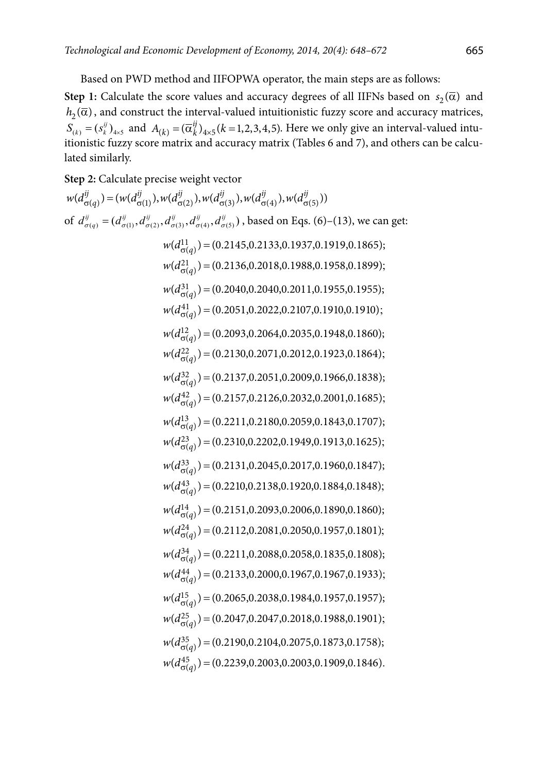Based on PWD method and IIFOPWA operator, the main steps are as follows:

**Step 1:** Calculate the score values and accuracy degrees of all IIFNs based on  $s_2(\overline{\alpha})$  and  $h_2(\overline{\alpha})$ , and construct the interval-valued intuitionistic fuzzy score and accuracy matrices,  $S_{(k)} = (s_k^{ij})_{4 \times 5}$  and  $A_{(k)} = (\overline{\alpha}_k^{ij})_{4 \times 5}$   $(k = 1, 2, 3, 4, 5)$ . Here we only give an interval-valued intuitionistic fuzzy score matrix and accuracy matrix (Tables 6 and 7), and others can be calculated similarly.

**Step 2:** Calculate precise weight vector

$$
w(d_{\sigma(q)}^{ij}) = (w(d_{\sigma(1)}^{ij}), w(d_{\sigma(2)}^{ij}), w(d_{\sigma(3)}^{ij}), w(d_{\sigma(4)}^{ij}), w(d_{\sigma(5)}^{ij}))
$$
  
of  $d_{\sigma(q)}^{ij} = (d_{\sigma(1)}^{ij}, d_{\sigma(2)}^{ij}, d_{\sigma(3)}^{ij}, d_{\sigma(4)}^{ij}, d_{\sigma(5)}^{ij})$ , based on Eqs. (6)–(13), we can get:  

$$
w(d_{\sigma(q)}^{11}) = (0.2145, 0.2133, 0.1937, 0.1919, 0.1865);
$$

$$
w(d_{\sigma(q)}^{12}) = (0.2145, 0.2133, 0.1938, 0.1958, 0.1959);
$$

$$
w(d_{\sigma(q)}^{21}) = (0.2040, 0.2040, 0.2011, 0.1955, 0.1955);
$$

$$
w(d_{\sigma(q)}^{41}) = (0.2051, 0.2022, 0.2107, 0.1910, 0.1910);
$$

$$
w(d_{\sigma(q)}^{22}) = (0.2130, 0.2071, 0.2012, 0.1923, 0.1864);
$$

$$
w(d_{\sigma(q)}^{22}) = (0.2137, 0.2051, 0.2009, 0.1966, 0.1838);
$$

$$
w(d_{\sigma(q)}^{12}) = (0.2137, 0.2051, 0.2009, 0.1966, 0.1838);
$$

$$
w(d_{\sigma(q)}^{12}) = (0.2157, 0.216, 0.2032, 0.2001, 0.1685);
$$

$$
w(d_{\sigma(q)}^{13}) = (0.2211, 0.2180, 0.2059, 0.1843, 0.1707);
$$

$$
w(d_{\sigma(q)}^{31}) = (0.2211, 0.2180, 0.2059, 0.1843, 0.1707);
$$
 $$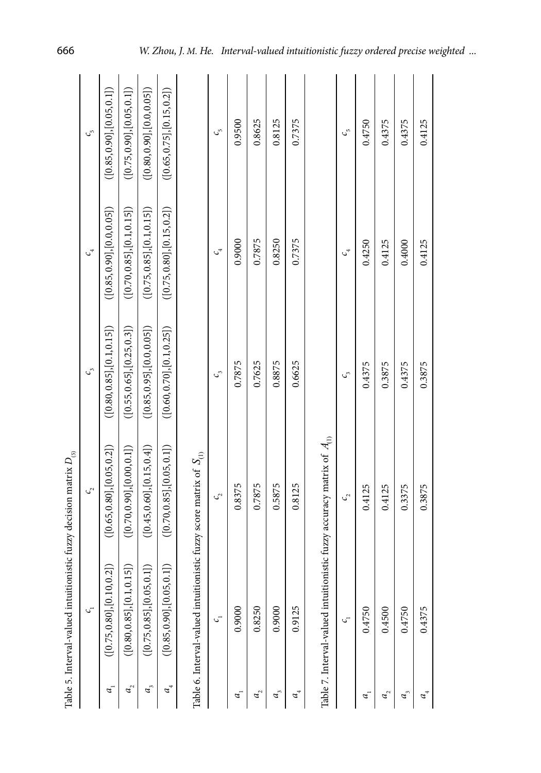|                                                   | $\mathcal{C}$                                                                                 | $\mathcal{C}_{2}$           | $c_{3}$                       | $c_{4}$                     | $\mathcal{C}_{\omega}$      |
|---------------------------------------------------|-----------------------------------------------------------------------------------------------|-----------------------------|-------------------------------|-----------------------------|-----------------------------|
| a.                                                | ন্নি<br>$($ [0.75, 0.80], [0.10, 0]                                                           | ([0.65, 0.80], [0.05, 0.2]) | ( [0.80, 0.85], [0.1, 0.15] ) | ([0.85, 0.90], [0.0, 0.05]) | ([0.85, 0.90], [0.05, 0.1]) |
| $a_{\rm _2}^{\rm }$                               | 51)<br>( [0.80, 0.85], [0.1, 0.1                                                              | ([0.70, 0.90], [0.00, 0.1]) | ([0.55, 0.65], [0.25, 0.3])   | ([0.70, 0.85], [0.1, 0.15]) | ([0.75, 0.90], [0.05, 0.1]) |
| $a_{i}$                                           | ([0.75, 0.85], [0.05, 0.1])                                                                   | ([0.45, 0.60], [0.15, 0.4]) | ([0.85, 0.95], [0.0, 0.05])   | ([0.75, 0.85], [0.1, 0.15]) | ([0.80, 0.90], [0.0, 0.05]) |
| $a_{\scriptscriptstyle 4}^{\scriptscriptstyle +}$ | $\ominus$<br>$($ [0.85, 0.90], [0.05, 0]                                                      | ([0.70, 0.85], [0.05, 0.1]) | ([0.60, 0.70], [0.1, 0.25])   | ([0.75, 0.80], [0.15, 0.2]) | ([0.65, 0.75], [0.15, 0.2]) |
|                                                   | Table 6. Interval-valued intuitionistic fuzzy score matrix of $S_{\scriptscriptstyle(\rm l)}$ |                             |                               |                             |                             |
|                                                   | $\mathcal{C}$                                                                                 | $\mathcal{C}_{\mathcal{C}}$ | $\mathcal{C}^{\circ}$         | $\mathcal{C}^4$             | $\mathcal{C}_{\mathcal{D}}$ |
| a.                                                | 0.9000                                                                                        | 0.8375                      | 0.7875                        | 0.9000                      | 0.9500                      |
| $a_{\rm _2}^{\rm }$                               | 0.8250                                                                                        | 0.7875                      | 0.7625                        | 0.7875                      | 0.8625                      |
| $a_{i}$                                           | 0.9000                                                                                        | 0.5875                      | 0.8875                        | 0.8250                      | 0.8125                      |
| $a_{\scriptscriptstyle 4}^{\scriptscriptstyle +}$ | 0.9125                                                                                        | 0.8125                      | 0.6625                        | 0.7375                      | 0.7375                      |
|                                                   | Table 7. Interval-valued intuitionistic fuzzy accuracy matrix of $\,A_{(1)}\,$                |                             |                               |                             |                             |
|                                                   | C,                                                                                            | $\mathcal{C}_{\mathcal{C}}$ | C,                            | $c_{4}$                     | $c_{\rm p}$                 |
| a.                                                | 0.4750                                                                                        | 0.4125                      | 0.4375                        | 0.4250                      | 0.4750                      |
| a,                                                | 0.4500                                                                                        | 0.4125                      | 0.3875                        | 0.4125                      | 0.4375                      |
| a,                                                | 0.4750                                                                                        | 0.3375                      | 0.4375                        | 0.4000                      | 0.4375                      |
| $a^4$                                             | 0.4375                                                                                        | 0.3875                      | 0.3875                        | 0.4125                      | 0.4125                      |
|                                                   |                                                                                               |                             |                               |                             |                             |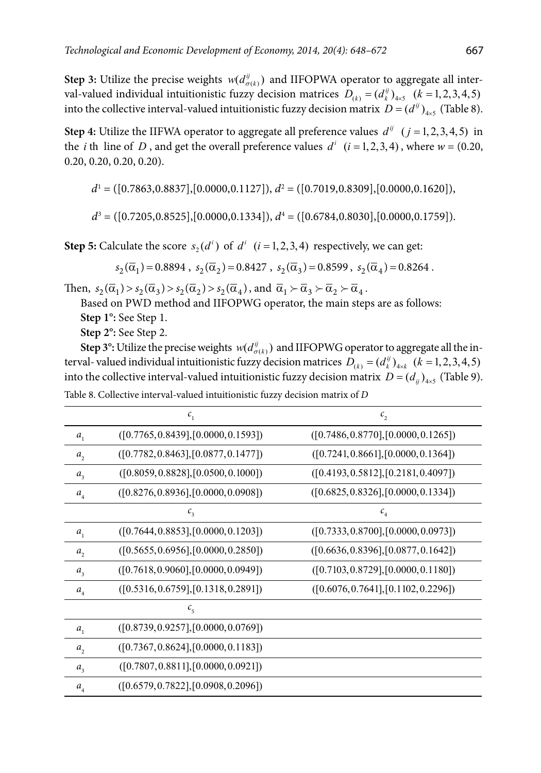**Step 3:** Utilize the precise weights  $w(d_{\sigma(k)}^{\hat{y}})$  and IIFOPWA operator to aggregate all interval-valued individual intuitionistic fuzzy decision matrices  $D_{(k)} = (d_{k}^{ij})_{4 \times 5}$   $(k = 1, 2, 3, 4, 5)$ into the collective interval-valued intuitionistic fuzzy decision matrix  $D = (d^{ij})_{i,j}$  (Table 8).

**Step 4:** Utilize the IIFWA operator to aggregate all preference values  $d^{ij}$   $(j = 1, 2, 3, 4, 5)$  in the *i* th line of *D*, and get the overall preference values  $d^{i}$   $(i = 1, 2, 3, 4)$ , where  $w = (0.20, 1.4)$ 0.20, 0.20, 0.20, 0.20).

$$
d^1 = ([0.7863, 0.8837], [0.0000, 0.1127]), d^2 = ([0.7019, 0.8309], [0.0000, 0.1620]),
$$

$$
d^{3} = ([0.7205, 0.8525], [0.0000, 0.1334]), d^{4} = ([0.6784, 0.8030], [0.0000, 0.1759]).
$$

**Step 5:** Calculate the score  $s_2(d^i)$  of  $d^i$   $(i = 1, 2, 3, 4)$  respectively, we can get:

$$
s_2(\overline{\alpha}_1) \,{=}\, 0.8894~,~ s_2(\overline{\alpha}_2) \,{=}\, 0.8427~,~ s_2(\overline{\alpha}_3) \,{=}\, 0.8599~,~ s_2(\overline{\alpha}_4) \,{=}\, 0.8264~.
$$

Then,  $s_2(\overline{\alpha}_1) > s_2(\overline{\alpha}_3) > s_2(\overline{\alpha}_2) > s_2(\overline{\alpha}_4)$ , and  $\overline{\alpha}_1 \succ \overline{\alpha}_3 \succ \overline{\alpha}_2 \succ \overline{\alpha}_4$ .

Based on PWD method and IIFOPWG operator, the main steps are as follows: **Step 1°:** See Step 1.

**Step 2°:** See Step 2.

**Step 3°:** Utilize the precise weights  $w(d_{\sigma(k)}^{ij})$  and IIFOPWG operator to aggregate all the interval- valued individual intuitionistic fuzzy decision matrices  $D_{(k)} = (d_k^{ij})_{4 \times k}$   $(k = 1, 2, 3, 4, 5)$ into the collective interval-valued intuitionistic fuzzy decision matrix  $D = (d_{ii})_{4\times 5}$  (Table 9).

|                             | $c_{1}$                              | $c_{2}$                              |
|-----------------------------|--------------------------------------|--------------------------------------|
| $a_{1}$                     | ([0.7765, 0.8439], [0.0000, 0.1593]) | ([0.7486, 0.8770], [0.0000, 0.1265]) |
| a,                          | ([0.7782, 0.8463], [0.0877, 0.1477]) | ([0.7241, 0.8661], [0.0000, 0.1364]) |
| $a_{3}$                     | ([0.8059, 0.8828], [0.0500, 0.1000]) | ([0.4193, 0.5812], [0.2181, 0.4097]) |
| $a_{\scriptscriptstyle 4}$  | ([0.8276, 0.8936], [0.0000, 0.0908]) | ([0.6825, 0.8326], [0.0000, 0.1334]) |
|                             | $c_{3}$                              | $c_{\scriptscriptstyle 4}$           |
| $a_{1}$                     | ([0.7644, 0.8853], [0.0000, 0.1203]) | ([0.7333, 0.8700], [0.0000, 0.0973]) |
| a,                          | ([0.5655, 0.6956], [0.0000, 0.2850]) | ([0.6636, 0.8396], [0.0877, 0.1642]) |
| $a_{\rm a}$                 | ([0.7618, 0.9060], [0.0000, 0.0949]) | ([0.7103, 0.8729], [0.0000, 0.1180]) |
| $a_{\scriptscriptstyle 4}$  | ([0.5316, 0.6759], [0.1318, 0.2891]) | ([0.6076, 0.7641], [0.1102, 0.2296]) |
|                             | $c_{\scriptscriptstyle 5}$           |                                      |
| $a_{1}$                     | ([0.8739, 0.9257], [0.0000, 0.0769]) |                                      |
| a,                          | ([0.7367, 0.8624], [0.0000, 0.1183]) |                                      |
| $a_{3}$                     | ([0.7807, 0.8811], [0.0000, 0.0921]) |                                      |
| $a_{\scriptscriptstyle{A}}$ | ([0.6579, 0.7822], [0.0908, 0.2096]) |                                      |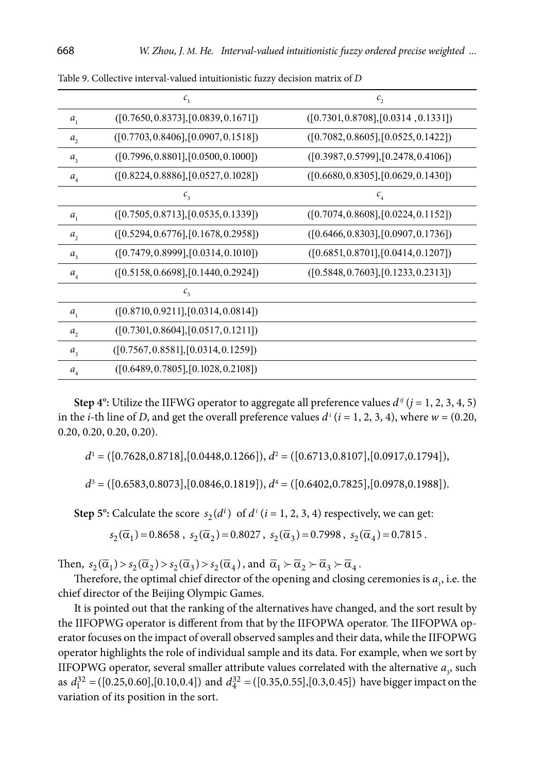|                            | $c_{1}$                              | $c_{2}$                              |
|----------------------------|--------------------------------------|--------------------------------------|
| $a_{1}$                    | ([0.7650, 0.8373], [0.0839, 0.1671]) | ([0.7301, 0.8708], [0.0314, 0.1331]) |
| $a_{2}$                    | ([0.7703, 0.8406], [0.0907, 0.1518]) | ([0.7082, 0.8605], [0.0525, 0.1422]) |
| $a_{3}$                    | ([0.7996, 0.8801], [0.0500, 0.1000]) | ([0.3987, 0.5799], [0.2478, 0.4106]) |
| $a_{\scriptscriptstyle 4}$ | ([0.8224, 0.8886], [0.0527, 0.1028]) | ([0.6680, 0.8305], [0.0629, 0.1430]) |
|                            | $c_{\scriptscriptstyle 3}$           | $c_{\scriptscriptstyle 4}$           |
| $a_{1}$                    | ([0.7505, 0.8713], [0.0535, 0.1339]) | ([0.7074, 0.8608], [0.0224, 0.1152]) |
| a <sub>2</sub>             | ([0.5294, 0.6776], [0.1678, 0.2958]) | ([0.6466, 0.8303], [0.0907, 0.1736]) |
| $a_{3}$                    | ([0.7479, 0.8999], [0.0314, 0.1010]) | ([0.6851, 0.8701], [0.0414, 0.1207]) |
| $a_{\scriptscriptstyle 4}$ | ([0.5158, 0.6698], [0.1440, 0.2924]) | ([0.5848, 0.7603], [0.1233, 0.2313]) |
|                            | $c_{\rm s}$                          |                                      |
| $a_{1}$                    | ([0.8710, 0.9211], [0.0314, 0.0814]) |                                      |
| $a_{2}$                    | ([0.7301, 0.8604], [0.0517, 0.1211]) |                                      |
| $a_{3}$                    | ([0.7567, 0.8581], [0.0314, 0.1259]) |                                      |
| $a_{\scriptscriptstyle A}$ | ([0.6489, 0.7805], [0.1028, 0.2108]) |                                      |

Table 9. Collective interval-valued intuitionistic fuzzy decision matrix of *D*

**Step 4°:** Utilize the IIFWG operator to aggregate all preference values  $d^{ij}$  ( $j = 1, 2, 3, 4, 5$ ) in the *i*-th line of *D*, and get the overall preference values  $d^{i}$  ( $i = 1, 2, 3, 4$ ), where  $w = (0.20, 1.4)$ 0.20, 0.20, 0.20, 0.20).

*d*1 = ([0.7628,0.8718],[0.0448,0.1266]), *d*<sup>2</sup> = ([0.6713,0.8107],[0.0917,0.1794]),

$$
d^{3} = ([0.6583, 0.8073], [0.0846, 0.1819]), d^{4} = ([0.6402, 0.7825], [0.0978, 0.1988]).
$$

**Step 5°:** Calculate the score  $s_2(d^i)$  of  $d^i$  ( $i = 1, 2, 3, 4$ ) respectively, we can get:

$$
s_2(\overline{\alpha}_1) = 0.8658 \; , \; s_2(\overline{\alpha}_2) = 0.8027 \; , \; s_2(\overline{\alpha}_3) = 0.7998 \; , \; s_2(\overline{\alpha}_4) = 0.7815 \; .
$$

Then,  $s_2(\overline{\alpha}_1) > s_2(\overline{\alpha}_2) > s_2(\overline{\alpha}_3) > s_2(\overline{\alpha}_4)$ , and  $\overline{\alpha}_1 \succ \overline{\alpha}_2 \succ \overline{\alpha}_3 \succ \overline{\alpha}_4$ .

Therefore, the optimal chief director of the opening and closing ceremonies is  $a<sub>1</sub>$ , i.e. the chief director of the Beijing Olympic Games.

It is pointed out that the ranking of the alternatives have changed, and the sort result by the IIFOPWG operator is different from that by the IIFOPWA operator. The IIFOPWA operator focuses on the impact of overall observed samples and their data, while the IIFOPWG operator highlights the role of individual sample and its data. For example, when we sort by IIFOPWG operator, several smaller attribute values correlated with the alternative  $a_3$ , such as  $d_1^{32} = ([0.25, 0.60], [0.10, 0.4])$  and  $d_4^{32} = ([0.35, 0.55], [0.3, 0.45])$  have bigger impact on the variation of its position in the sort.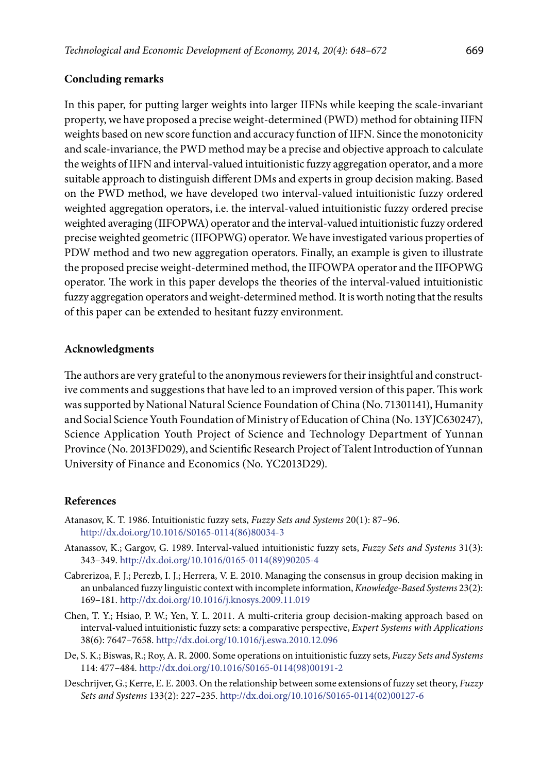## **Concluding remarks**

In this paper, for putting larger weights into larger IIFNs while keeping the scale-invariant property, we have proposed a precise weight-determined (PWD) method for obtaining IIFN weights based on new score function and accuracy function of IIFN. Since the monotonicity and scale-invariance, the PWD method may be a precise and objective approach to calculate the weights of IIFN and interval-valued intuitionistic fuzzy aggregation operator, and a more suitable approach to distinguish different DMs and experts in group decision making. Based on the PWD method, we have developed two interval-valued intuitionistic fuzzy ordered weighted aggregation operators, i.e. the interval-valued intuitionistic fuzzy ordered precise weighted averaging (IIFOPWA) operator and the interval-valued intuitionistic fuzzy ordered precise weighted geometric (IIFOPWG) operator. We have investigated various properties of PDW method and two new aggregation operators. Finally, an example is given to illustrate the proposed precise weight-determined method, the IIFOWPA operator and the IIFOPWG operator. The work in this paper develops the theories of the interval-valued intuitionistic fuzzy aggregation operators and weight-determined method. It is worth noting that the results of this paper can be extended to hesitant fuzzy environment.

### **Acknowledgments**

The authors are very grateful to the anonymous reviewers for their insightful and constructive comments and suggestions that have led to an improved version of this paper. This work was supported by National Natural Science Foundation of China (No. 71301141), Humanity and Social Science Youth Foundation of Ministry of Education of China (No. 13YJC630247), Science Application Youth Project of Science and Technology Department of Yunnan Province (No. 2013FD029), and Scientific Research Project of Talent Introduction of Yunnan University of Finance and Economics (No. YC2013D29).

### **References**

- Atanasov, K. T. 1986. Intuitionistic fuzzy sets, *Fuzzy Sets and Systems* 20(1): 87–96. [http://dx.doi.org/10.1016/S0165-0114\(86\)80034-3](http://dx.doi.org/10.1016/S0165-0114(86)80034-3)
- Atanassov, K.; Gargov, G. 1989. Interval-valued intuitionistic fuzzy sets, *Fuzzy Sets and Systems* 31(3): 343–349. [http://dx.doi.org/10.1016/0165-0114\(89\)90205-4](http://dx.doi.org/10.1016/0165-0114(89)90205-4)
- Cabreriz[oa](http://www.sciencedirect.com/science/article/pii/S0950705109001610#aff1), F. J.; Perez[b,](http://www.sciencedirect.com/science/article/pii/S0950705109001610#aff2) I. J.; Herrera, V. E. 2010. Managing the consensus in group decision making in an unbalanced fuzzy linguistic context with incomplete information, *[Knowledge-Based Systems](http://www.sciencedirect.com/science/journal/09507051)* 23(2): 169–181. <http://dx.doi.org/10.1016/j.knosys.2009.11.019>
- Chen, T. Y.; Hsiao, P. W.; Yen, Y. L. 2011. A multi-criteria group decision-making approach based on interval-valued intuitionistic fuzzy sets: a comparative perspective, *Expert Systems with Applications* 38(6): 7647–7658.<http://dx.doi.org/10.1016/j.eswa.2010.12.096>
- De, S. K.; Biswas, R.; Roy, A. R. 2000. Some operations on intuitionistic fuzzy sets, *Fuzzy Sets and Systems* 114: 477–484. [http://dx.doi.org/10.1016/S0165-0114\(98\)00191-2](http://dx.doi.org/10.1016/S0165-0114(98)00191-2)
- Deschrijver, G.; Kerre, E. E. 2003. On the relationship between some extensions of fuzzy set theory, *[Fuzzy](http://www.sciencedirect.com/science/journal/01650114) [Sets and Systems](http://www.sciencedirect.com/science/journal/01650114)* 133(2): 227–235. [http://dx.doi.org/10.1016/S0165-0114\(02\)00127-6](http://dx.doi.org/10.1016/S0165-0114(02)00127-6)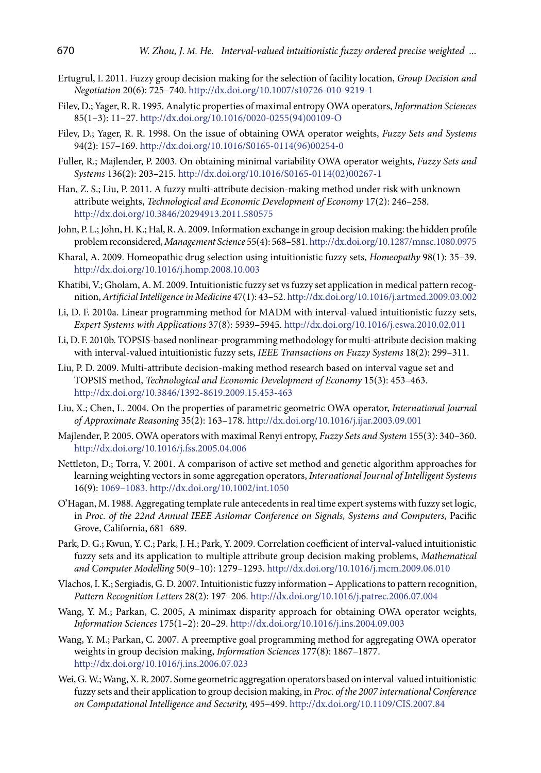- Ertugrul, I. 2011. Fuzzy group decision making for the selection of facility location, *[Group Decision and](http://www.springerlink.com/content/0926-2644/)  [Negotiation](http://www.springerlink.com/content/0926-2644/)* 20(6): 725–740.<http://dx.doi.org/10.1007/s10726-010-9219-1>
- Filev, D.; Yager, R. R. 1995. Analytic properties of maximal entropy OWA operators, *Information Sciences* 85(1–3): 11–27. [http://dx.doi.org/10.1016/0020-0255\(94\)00109-O](http://dx.doi.org/10.1016/0020-0255(94)00109-O)
- Filev, D.; Yager, R. R. 1998. On the issue of obtaining OWA operator weights, *Fuzzy Sets and Systems* 94(2): 157–169. [http://dx.doi.org/10.1016/S0165-0114\(96\)00254-0](http://dx.doi.org/10.1016/S0165-0114(96)00254-0)
- Fuller, R.; Majlender, P. 2003. On obtaining minimal variability OWA operator weights, *Fuzzy Sets and Systems* 136(2): 203–215. [http://dx.doi.org/10.1016/S0165-0114\(02\)00267-1](http://dx.doi.org/10.1016/S0165-0114(02)00267-1)
- Han, Z. S.; Liu, P. 2011. A fuzzy multi-attribute decision-making method under risk with unknown attribute weights, *Technological and Economic Development of Economy* 17(2): 246–258. <http://dx.doi.org/10.3846/20294913.2011.580575>
- John, P. L.; John, H. K.; Hal, R. A. 2009. Information exchange in group decision making: the hidden profile problem reconsidered, *Management Science* 55(4): 568–581.<http://dx.doi.org/10.1287/mnsc.1080.0975>
- Kharal, A. 2009. Homeopathic drug selection using intuitionistic fuzzy sets, *[Homeopathy](http://www.sciencedirect.com/science/journal/14754916)* 98(1): 35–39. <http://dx.doi.org/10.1016/j.homp.2008.10.003>
- Khatibi, V.; Gholam, A. M. 2009. Intuitionistic fuzzy set vs fuzzy set application in medical pattern recognition, *[Artificial Intelligence in Medicine](http://www.sciencedirect.com/science/journal/09333657)* 47(1): 43–52.<http://dx.doi.org/10.1016/j.artmed.2009.03.002>
- Li, D. F. 2010a. Linear programming method for MADM with interval-valued intuitionistic fuzzy sets, *Expert Systems with Applications* 37(8): 5939–5945.<http://dx.doi.org/10.1016/j.eswa.2010.02.011>
- Li, D. F. 2010b. TOPSIS-based nonlinear-programming methodology for multi-attribute decision making with interval-valued intuitionistic fuzzy sets, *IEEE Transactions on Fuzzy Systems* 18(2): 299–311.
- Liu, P. D. 2009. Multi-attribute decision-making method research based on interval vague set and TOPSIS method, *Technological and Economic Development of Economy* 15(3): 453–463. <http://dx.doi.org/10.3846/1392-8619.2009.15.453-463>
- Liu, X.; Chen, L. 2004. On the properties of parametric geometric OWA operator, *International Journal of Approximate Reasoning* 35(2): 163–178.<http://dx.doi.org/10.1016/j.ijar.2003.09.001>
- Majlender, P. 2005. OWA operators with maximal Renyi entropy, *Fuzzy Sets and System* 155(3): 340–360. <http://dx.doi.org/10.1016/j.fss.2005.04.006>
- Nettleton, D.; Torra, V. 2001. A comparison of active set method and genetic algorithm approaches for learning weighting vectors in some aggregation operators, *International Journal of Intelligent Systems* 16(9): 1069–1083. <http://dx.doi.org/10.1002/int.1050>
- O'Hagan, M. 1988. Aggregating template rule antecedents in real time expert systems with fuzzy set logic, in *Proc. of the 22nd Annual IEEE Asilomar Conference on Signals, Systems and Computers*, Pacific Grove, California, 681–689.
- Park, D. G.; Kwun, Y. C.; Park, J. H.; Park, Y. 2009. Correlation coefficient of interval-valued intuitionistic fuzzy sets and its application to multiple attribute group decision making problems, *[Mathematical](http://www.sciencedirect.com/science/journal/08957177)  [and Computer Modelling](http://www.sciencedirect.com/science/journal/08957177)* 50(9–10): 1279–1293.<http://dx.doi.org/10.1016/j.mcm.2009.06.010>
- Vlachos, I. K.; Sergiadis, G. D. 2007. Intuitionistic fuzzy information Applications to pattern recognition, *[Pattern Recognition Letters](http://www.sciencedirect.com/science/journal/01678655)* 28(2): 197–206. <http://dx.doi.org/10.1016/j.patrec.2006.07.004>
- Wang, Y. M.; Parkan, C. 2005, A minimax disparity approach for obtaining OWA operator weights, *Information Sciences* 175(1–2): 20–29. <http://dx.doi.org/10.1016/j.ins.2004.09.003>
- Wang, Y. M.; Parkan, C. 2007. A preemptive goal programming method for aggregating OWA operator weights in group decision making, *Information Sciences* 177(8): 1867–1877. <http://dx.doi.org/10.1016/j.ins.2006.07.023>
- Wei, G. W.; Wang, X. R. 2007. Some geometric aggregation operators based on interval-valued intuitionistic fuzzy sets and their application to group decision making, in *Proc. of the 2007 international Conference on Computational Intelligence and Security,* 495–499. <http://dx.doi.org/10.1109/CIS.2007.84>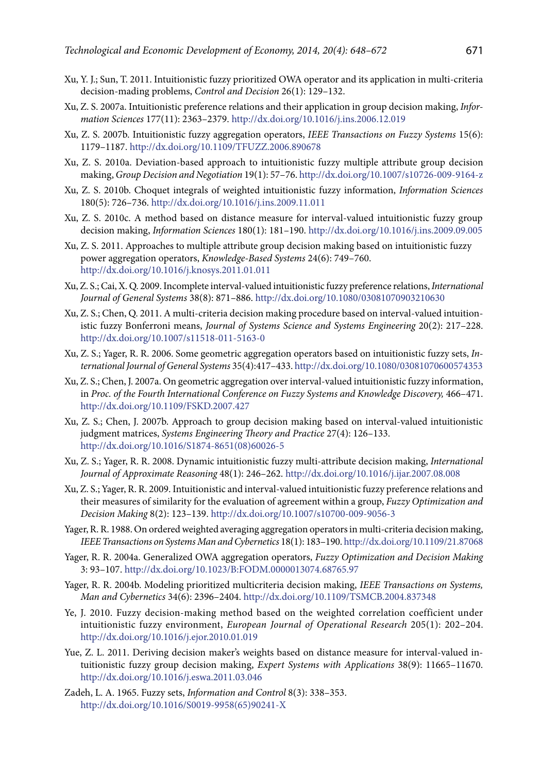- Xu, Y. J.; Sun, T. 2011. Intuitionistic fuzzy prioritized OWA operator and its application in multi-criteria decision-mading problems, *Control and Decision* 26(1): 129–132.
- Xu, Z. S. 2007a. Intuitionistic preference relations and their application in group decision making, *Information Sciences* 177(11): 2363–2379. <http://dx.doi.org/10.1016/j.ins.2006.12.019>
- Xu, Z. S. 2007b. Intuitionistic fuzzy aggregation operators, *IEEE Transactions on Fuzzy Systems* 15(6): 1179–1187.<http://dx.doi.org/10.1109/TFUZZ.2006.890678>
- Xu, Z. S. 2010a. Deviation-based approach to intuitionistic fuzzy multiple attribute group decision making, *[Group Decision and Negotiation](http://www.springerlink.com/content/0926-2644/)* 19(1): 57–76.<http://dx.doi.org/10.1007/s10726-009-9164-z>
- Xu, Z. S. 2010b. Choquet integrals of weighted intuitionistic fuzzy information, *Information Sciences* 180(5): 726–736.<http://dx.doi.org/10.1016/j.ins.2009.11.011>
- Xu, Z. S. 2010c. A method based on distance measure for interval-valued intuitionistic fuzzy group decision making, *Information Sciences* 180(1): 181–190. <http://dx.doi.org/10.1016/j.ins.2009.09.005>
- Xu, Z. S. 2011. Approaches to multiple attribute group decision making based on intuitionistic fuzzy power aggregation operators, *Knowledge-Based Systems* 24(6): 749–760. <http://dx.doi.org/10.1016/j.knosys.2011.01.011>
- Xu, Z. S.; Cai, X. Q. 2009. Incomplete interval-valued intuitionistic fuzzy preference relations, *International Journal of General Systems* 38(8): 871–886. <http://dx.doi.org/10.1080/03081070903210630>
- Xu, Z. S.; Chen, Q. 2011. A multi-criteria decision making procedure based on interval-valued intuitionistic fuzzy Bonferroni means, *Journal of Systems Science and Systems Engineering* 20(2): 217–228. <http://dx.doi.org/10.1007/s11518-011-5163-0>
- Xu, Z. S.; Yager, R. R. 2006. Some geometric aggregation operators based on intuitionistic fuzzy sets, *International Journal of General Systems* 35(4):417–433. <http://dx.doi.org/10.1080/03081070600574353>
- Xu, Z. S.; Chen, J. 2007a. On geometric aggregation over interval-valued intuitionistic fuzzy information, in *Proc. of the Fourth International Conference on Fuzzy Systems and Knowledge Discovery,* 466–471. <http://dx.doi.org/10.1109/FSKD.2007.427>
- Xu, Z. S.; Chen, J. 2007b. Approach to group decision making based on interval-valued intuitionistic judgment matrices, *Systems Engineering Theory and Practice* 27(4): 126–133. [http://dx.doi.org/10.1016/S1874-8651\(08\)60026-5](http://dx.doi.org/10.1016/S1874-8651(08)60026-5)
- Xu, Z. S.; Yager, R. R. 2008. Dynamic intuitionistic fuzzy multi-attribute decision making, *[International](http://www.sciencedirect.com/science/journal/0888613X) [Journal of Approximate Reasoning](http://www.sciencedirect.com/science/journal/0888613X)* 48(1): 246–262.<http://dx.doi.org/10.1016/j.ijar.2007.08.008>
- Xu, Z. S.; Yager, R. R. 2009. Intuitionistic and interval-valued intuitionistic fuzzy preference relations and their measures of similarity for the evaluation of agreement within a group, *[Fuzzy Optimization and](http://www.springerlink.com/content/1568-4539/) [Decision Making](http://www.springerlink.com/content/1568-4539/)* 8(2): 123–139. <http://dx.doi.org/10.1007/s10700-009-9056-3>
- Yager, R. R. 1988. On ordered weighted averaging aggregation operators in multi-criteria decision making, *IEEE Transactions on Systems Man and Cybernetics* 18(1): 183–190.<http://dx.doi.org/10.1109/21.87068>
- Yager, R. R. 2004a. Generalized OWA aggregation operators, *Fuzzy Optimization and Decision Making* 3: 93–107. <http://dx.doi.org/10.1023/B:FODM.0000013074.68765.97>
- Yager, R. R. 2004b. Modeling prioritized multicriteria decision making, *IEEE Transactions on Systems, Man and Cybernetics* 34(6): 2396–2404.<http://dx.doi.org/10.1109/TSMCB.2004.837348>
- Ye, J. 2010. Fuzzy decision-making method based on the weighted correlation coefficient under intuitionistic fuzzy environment, *[European Journal of Operational Research](http://www.sciencedirect.com/science/journal/03772217)* 205(1): 202–204. <http://dx.doi.org/10.1016/j.ejor.2010.01.019>
- Yue, Z. L. 2011. Deriving decision maker's weights based on distance measure for interval-valued intuitionistic fuzzy group decision making, *Expert Systems with Applications* 38(9): 11665–11670. <http://dx.doi.org/10.1016/j.eswa.2011.03.046>
- Zadeh, L. A. 1965. Fuzzy sets, *Information and Control* 8(3): 338–353. [http://dx.doi.org/10.1016/S0019-9958\(65\)90241-X](http://dx.doi.org/10.1016/S0019-9958(65)90241-X)